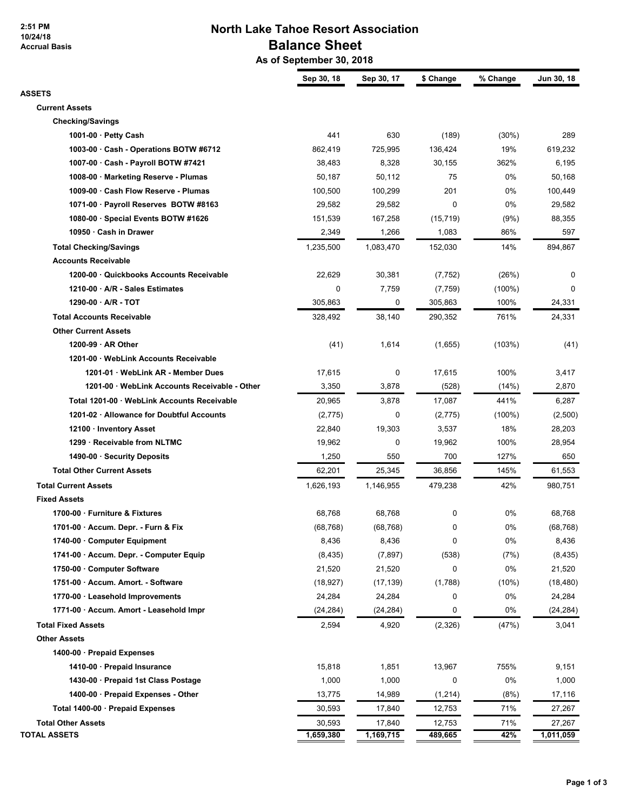**2:51 PM 10/24/18 Accrual Basis**

## **North Lake Tahoe Resort Association Balance Sheet**

 **As of September 30, 2018**

|                                               | Sep 30, 18 | Sep 30, 17 | \$ Change   | % Change  | Jun 30, 18 |
|-----------------------------------------------|------------|------------|-------------|-----------|------------|
| ASSETS                                        |            |            |             |           |            |
| <b>Current Assets</b>                         |            |            |             |           |            |
| <b>Checking/Savings</b>                       |            |            |             |           |            |
| 1001-00 $\cdot$ Petty Cash                    | 441        | 630        | (189)       | (30%)     | 289        |
| 1003-00 · Cash - Operations BOTW #6712        | 862,419    | 725,995    | 136,424     | 19%       | 619,232    |
| 1007-00 · Cash - Payroll BOTW #7421           | 38,483     | 8,328      | 30,155      | 362%      | 6,195      |
| 1008-00 · Marketing Reserve - Plumas          | 50,187     | 50,112     | 75          | 0%        | 50,168     |
| 1009-00 · Cash Flow Reserve - Plumas          | 100,500    | 100,299    | 201         | 0%        | 100,449    |
| 1071-00 · Payroll Reserves BOTW #8163         | 29,582     | 29,582     | $\mathbf 0$ | 0%        | 29,582     |
| 1080-00 · Special Events BOTW #1626           | 151,539    | 167,258    | (15, 719)   | (9%)      | 88,355     |
| 10950 · Cash in Drawer                        | 2,349      | 1,266      | 1,083       | 86%       | 597        |
| <b>Total Checking/Savings</b>                 | 1,235,500  | 1,083,470  | 152,030     | 14%       | 894,867    |
| <b>Accounts Receivable</b>                    |            |            |             |           |            |
| 1200-00 · Quickbooks Accounts Receivable      | 22,629     | 30,381     | (7, 752)    | (26%)     | 0          |
| 1210-00 · A/R - Sales Estimates               | 0          | 7,759      | (7, 759)    | $(100\%)$ | $\Omega$   |
| 1290-00 · A/R - TOT                           | 305,863    | 0          | 305,863     | 100%      | 24,331     |
| <b>Total Accounts Receivable</b>              | 328,492    | 38,140     | 290,352     | 761%      | 24,331     |
| <b>Other Current Assets</b>                   |            |            |             |           |            |
| $1200-99 \cdot AR$ Other                      | (41)       | 1,614      | (1,655)     | (103%)    | (41)       |
| 1201-00 · WebLink Accounts Receivable         |            |            |             |           |            |
| 1201-01 · WebLink AR - Member Dues            | 17,615     | 0          | 17,615      | 100%      | 3,417      |
| 1201-00 · WebLink Accounts Receivable - Other | 3,350      | 3,878      | (528)       | (14%)     | 2,870      |
| Total 1201-00 · WebLink Accounts Receivable   | 20,965     | 3,878      | 17,087      | 441%      | 6,287      |
| 1201-02 · Allowance for Doubtful Accounts     | (2,775)    | 0          | (2,775)     | $(100\%)$ | (2,500)    |
| 12100 · Inventory Asset                       | 22,840     | 19,303     | 3,537       | 18%       | 28,203     |
| 1299 · Receivable from NLTMC                  | 19,962     | 0          | 19,962      | 100%      | 28,954     |
| 1490-00 · Security Deposits                   | 1,250      | 550        | 700         | 127%      | 650        |
| <b>Total Other Current Assets</b>             | 62,201     | 25,345     | 36,856      | 145%      | 61,553     |
| <b>Total Current Assets</b>                   | 1,626,193  | 1,146,955  | 479,238     | 42%       | 980,751    |
| <b>Fixed Assets</b>                           |            |            |             |           |            |
| 1700-00 · Furniture & Fixtures                | 68,768     | 68,768     | 0           | 0%        | 68,768     |
| 1701-00 · Accum. Depr. - Furn & Fix           | (68, 768)  | (68, 768)  | 0           | 0%        | (68, 768)  |
| 1740-00 Computer Equipment                    | 8,436      | 8,436      | 0           | 0%        | 8,436      |
| 1741-00 · Accum. Depr. - Computer Equip       | (8, 435)   | (7, 897)   | (538)       | (7%)      | (8, 435)   |
| 1750-00 · Computer Software                   | 21,520     | 21,520     | 0           | 0%        | 21,520     |
| 1751-00 · Accum. Amort. - Software            | (18, 927)  | (17, 139)  | (1,788)     | (10%)     | (18, 480)  |
| 1770-00 · Leasehold Improvements              | 24,284     | 24,284     | 0           | 0%        | 24,284     |
| 1771-00 · Accum. Amort - Leasehold Impr       | (24, 284)  | (24, 284)  | 0           | 0%        | (24, 284)  |
| <b>Total Fixed Assets</b>                     | 2,594      | 4,920      | (2, 326)    | (47%)     | 3,041      |
| <b>Other Assets</b>                           |            |            |             |           |            |
| 1400-00 · Prepaid Expenses                    |            |            |             |           |            |
| 1410-00 · Prepaid Insurance                   | 15,818     | 1,851      | 13,967      | 755%      | 9,151      |
| 1430-00 · Prepaid 1st Class Postage           | 1,000      | 1,000      | 0           | 0%        | 1,000      |
| 1400-00 · Prepaid Expenses - Other            | 13,775     | 14,989     | (1, 214)    | (8%)      | 17,116     |
| Total 1400-00 · Prepaid Expenses              | 30,593     | 17,840     | 12,753      | 71%       | 27,267     |
| <b>Total Other Assets</b>                     | 30,593     | 17,840     | 12,753      | 71%       | 27,267     |
| <b>TOTAL ASSETS</b>                           | 1,659,380  | 1,169,715  | 489,665     | 42%       | 1,011,059  |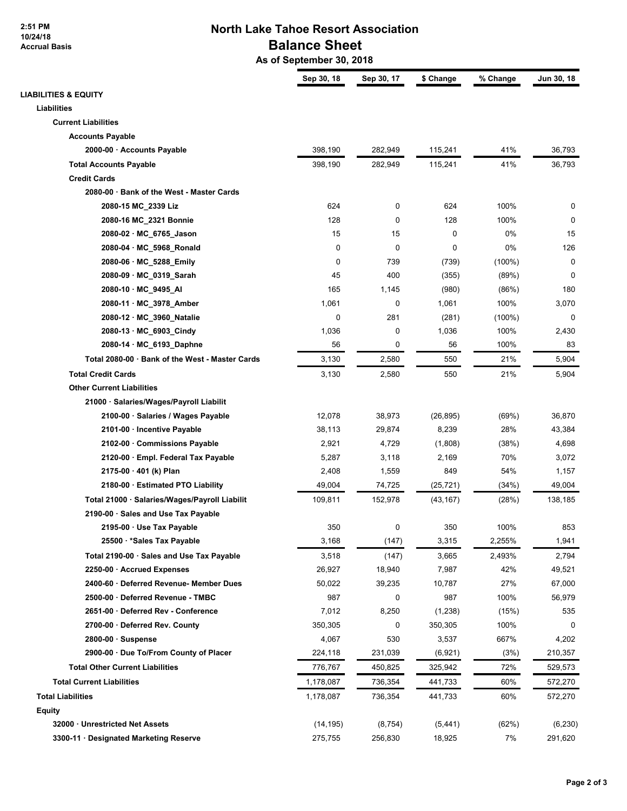**2:51 PM 10/24/18 Accrual Basis**

### **North Lake Tahoe Resort Association Balance Sheet**

 **As of September 30, 2018**

|                                                 | Sep 30, 18 | Sep 30, 17 | \$ Change | % Change  | Jun 30, 18 |
|-------------------------------------------------|------------|------------|-----------|-----------|------------|
| <b>LIABILITIES &amp; EQUITY</b>                 |            |            |           |           |            |
| <b>Liabilities</b>                              |            |            |           |           |            |
| <b>Current Liabilities</b>                      |            |            |           |           |            |
| <b>Accounts Payable</b>                         |            |            |           |           |            |
| 2000-00 · Accounts Payable                      | 398,190    | 282,949    | 115,241   | 41%       | 36,793     |
| <b>Total Accounts Payable</b>                   | 398,190    | 282,949    | 115,241   | 41%       | 36,793     |
| <b>Credit Cards</b>                             |            |            |           |           |            |
| 2080-00 · Bank of the West - Master Cards       |            |            |           |           |            |
| 2080-15 MC_2339 Liz                             | 624        | 0          | 624       | 100%      | 0          |
| 2080-16 MC_2321 Bonnie                          | 128        | 0          | 128       | 100%      | 0          |
| 2080-02 · MC_6765_Jason                         | 15         | 15         | 0         | 0%        | 15         |
| 2080-04 · MC_5968_Ronald                        | 0          | 0          | 0         | 0%        | 126        |
| 2080-06 · MC_5288_Emily                         | 0          | 739        | (739)     | $(100\%)$ | 0          |
| 2080-09 · MC_0319_Sarah                         | 45         | 400        | (355)     | (89%)     | 0          |
| 2080-10 · MC_9495_AI                            | 165        | 1,145      | (980)     | (86%)     | 180        |
| 2080-11 · MC 3978 Amber                         | 1,061      | 0          | 1,061     | 100%      | 3,070      |
| 2080-12 · MC_3960_Natalie                       | 0          | 281        | (281)     | $(100\%)$ | 0          |
| 2080-13 · MC_6903_Cindy                         | 1,036      | 0          | 1,036     | 100%      | 2,430      |
| 2080-14 · MC_6193_Daphne                        | 56         | 0          | 56        | 100%      | 83         |
| Total 2080-00 · Bank of the West - Master Cards | 3,130      | 2,580      | 550       | 21%       | 5,904      |
| <b>Total Credit Cards</b>                       | 3,130      | 2,580      | 550       | 21%       | 5,904      |
| <b>Other Current Liabilities</b>                |            |            |           |           |            |
| 21000 · Salaries/Wages/Payroll Liabilit         |            |            |           |           |            |
| 2100-00 · Salaries / Wages Payable              | 12,078     | 38,973     | (26, 895) | (69%)     | 36,870     |
| 2101-00 · Incentive Payable                     | 38,113     | 29,874     | 8,239     | 28%       | 43,384     |
| 2102-00 · Commissions Payable                   | 2,921      | 4,729      | (1,808)   | (38%)     | 4,698      |
| 2120-00 · Empl. Federal Tax Payable             | 5,287      | 3,118      | 2,169     | 70%       | 3,072      |
| $2175-00 \cdot 401$ (k) Plan                    | 2,408      | 1,559      | 849       | 54%       | 1,157      |
| 2180-00 · Estimated PTO Liability               | 49,004     | 74,725     | (25, 721) | (34%)     | 49,004     |
| Total 21000 · Salaries/Wages/Payroll Liabilit   | 109,811    | 152,978    | (43, 167) | (28%)     | 138,185    |
| 2190-00 · Sales and Use Tax Payable             |            |            |           |           |            |
| 2195-00 · Use Tax Payable                       | 350        | 0          | 350       | 100%      | 853        |
| 25500 · * Sales Tax Payable                     | 3,168      | (147)      | 3,315     | 2,255%    | 1,941      |
| Total 2190-00 · Sales and Use Tax Payable       | 3,518      | (147)      | 3,665     | 2,493%    | 2,794      |
| 2250-00 · Accrued Expenses                      | 26,927     | 18,940     | 7,987     | 42%       | 49,521     |
| 2400-60 · Deferred Revenue- Member Dues         | 50,022     | 39,235     | 10,787    | 27%       | 67,000     |
| 2500-00 · Deferred Revenue - TMBC               | 987        | 0          | 987       | 100%      | 56,979     |
| 2651-00 · Deferred Rev - Conference             | 7,012      | 8,250      | (1,238)   | (15%)     | 535        |
| 2700-00 · Deferred Rev. County                  | 350,305    | 0          | 350,305   | 100%      | 0          |
| $2800-00 \cdot$ Suspense                        | 4,067      | 530        | 3,537     | 667%      | 4,202      |
| 2900-00 · Due To/From County of Placer          | 224,118    | 231,039    | (6,921)   | (3%)      | 210,357    |
| <b>Total Other Current Liabilities</b>          | 776,767    | 450,825    | 325,942   | 72%       | 529,573    |
| <b>Total Current Liabilities</b>                | 1,178,087  | 736,354    | 441,733   | 60%       | 572,270    |
| <b>Total Liabilities</b>                        | 1,178,087  | 736,354    | 441,733   | 60%       | 572,270    |
| Equity                                          |            |            |           |           |            |
| 32000 · Unrestricted Net Assets                 | (14, 195)  | (8, 754)   | (5, 441)  | (62%)     | (6, 230)   |
| 3300-11 · Designated Marketing Reserve          | 275,755    | 256,830    | 18,925    | 7%        | 291,620    |
|                                                 |            |            |           |           |            |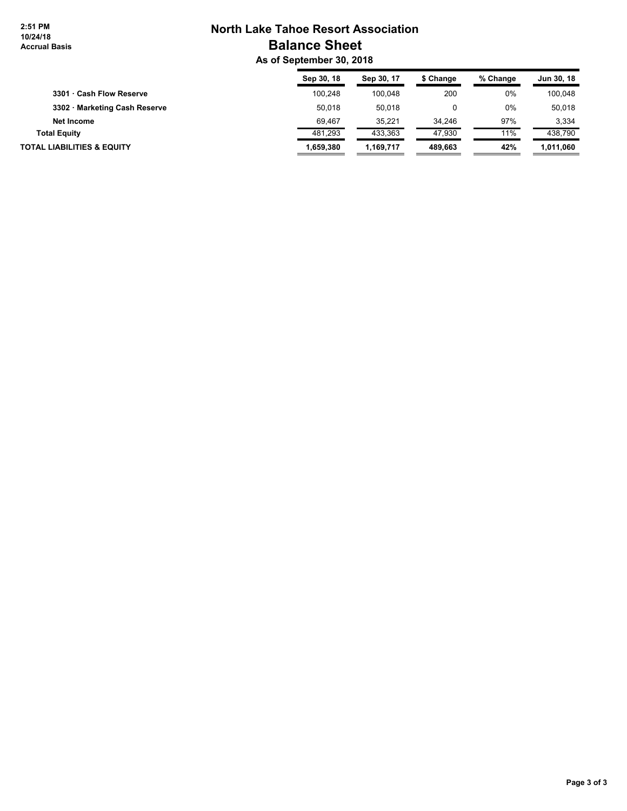## **North Lake Tahoe Resort Association Balance Sheet**

 **As of September 30, 2018**

|                                       | Sep 30, 18 | Sep 30, 17 | \$ Change | % Change | Jun 30, 18 |
|---------------------------------------|------------|------------|-----------|----------|------------|
| 3301 · Cash Flow Reserve              | 100.248    | 100.048    | 200       | 0%       | 100.048    |
| 3302 · Marketing Cash Reserve         | 50,018     | 50.018     |           | 0%       | 50.018     |
| Net Income                            | 69.467     | 35.221     | 34.246    | 97%      | 3.334      |
| <b>Total Equity</b>                   | 481.293    | 433.363    | 47.930    | 11%      | 438.790    |
| <b>TOTAL LIABILITIES &amp; EQUITY</b> | 1.659.380  | 1.169.717  | 489.663   | 42%      | 1,011,060  |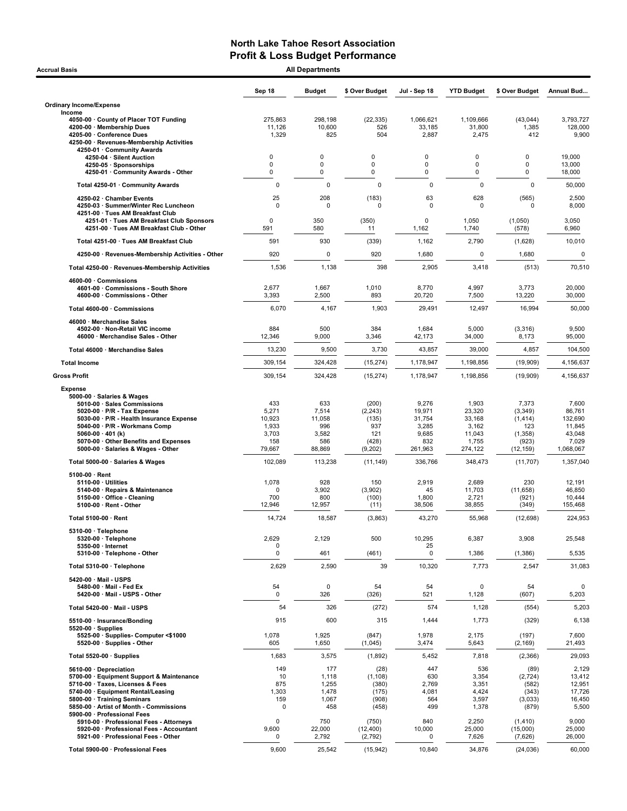| <b>All Departments</b><br><b>Accrual Basis</b>                                                                                                                                                                                                                                |                                                           |                                                         |                                                              |                                                               |                                                                  |                                                                       |                                                                      |  |  |
|-------------------------------------------------------------------------------------------------------------------------------------------------------------------------------------------------------------------------------------------------------------------------------|-----------------------------------------------------------|---------------------------------------------------------|--------------------------------------------------------------|---------------------------------------------------------------|------------------------------------------------------------------|-----------------------------------------------------------------------|----------------------------------------------------------------------|--|--|
|                                                                                                                                                                                                                                                                               | Sep 18                                                    | <b>Budget</b>                                           | \$ Over Budget                                               | Jul - Sep 18                                                  | <b>YTD Budget</b>                                                | \$ Over Budget                                                        | Annual Bud                                                           |  |  |
| <b>Ordinary Income/Expense</b>                                                                                                                                                                                                                                                |                                                           |                                                         |                                                              |                                                               |                                                                  |                                                                       |                                                                      |  |  |
| Income<br>4050-00 County of Placer TOT Funding<br>4200-00 · Membership Dues<br>4205-00 · Conference Dues<br>4250-00 · Revenues-Membership Activities<br>4250-01 · Community Awards                                                                                            | 275,863<br>11,126<br>1,329                                | 298,198<br>10,600<br>825                                | (22, 335)<br>526<br>504                                      | 1,066,621<br>33,185<br>2,887                                  | 1,109,666<br>31,800<br>2,475                                     | (43, 044)<br>1,385<br>412                                             | 3,793,727<br>128,000<br>9,900                                        |  |  |
| 4250-04 · Silent Auction                                                                                                                                                                                                                                                      | $\mathbf 0$                                               | $\mathbf 0$                                             | 0                                                            | $\Omega$                                                      | 0                                                                | $\Omega$                                                              | 19,000                                                               |  |  |
| 4250-05 · Sponsorships<br>4250-01 · Community Awards - Other                                                                                                                                                                                                                  | $\mathbf 0$<br>0                                          | 0<br>0                                                  | $\mathbf 0$<br>$\mathbf 0$                                   | 0<br>0                                                        | 0<br>0                                                           | 0<br>0                                                                | 13,000<br>18,000                                                     |  |  |
| Total 4250-01 · Community Awards                                                                                                                                                                                                                                              | 0                                                         | 0                                                       | $\mathbf 0$                                                  | $\mathbf 0$                                                   | $\mathbf 0$                                                      | $\mathbf 0$                                                           | 50,000                                                               |  |  |
| 4250-02 · Chamber Events<br>4250-03 · Summer/Winter Rec Luncheon                                                                                                                                                                                                              | 25<br>0                                                   | 208<br>0                                                | (183)<br>0                                                   | 63<br>0                                                       | 628<br>$\mathbf 0$                                               | (565)<br>0                                                            | 2,500<br>8,000                                                       |  |  |
| 4251-00 · Tues AM Breakfast Club<br>4251-01 · Tues AM Breakfast Club Sponsors<br>4251-00 · Tues AM Breakfast Club - Other                                                                                                                                                     | 0<br>591                                                  | 350<br>580                                              | (350)<br>11                                                  | $\Omega$<br>1,162                                             | 1,050<br>1,740                                                   | (1,050)<br>(578)                                                      | 3,050<br>6,960                                                       |  |  |
| Total 4251-00 · Tues AM Breakfast Club                                                                                                                                                                                                                                        | 591                                                       | 930                                                     | (339)                                                        | 1,162                                                         | 2,790                                                            | (1,628)                                                               | 10,010                                                               |  |  |
| 4250-00 · Revenues-Membership Activities - Other                                                                                                                                                                                                                              | 920                                                       | 0                                                       | 920                                                          | 1,680                                                         | 0                                                                | 1,680                                                                 |                                                                      |  |  |
| Total 4250-00 · Revenues-Membership Activities                                                                                                                                                                                                                                | 1,536                                                     | 1,138                                                   | 398                                                          | 2,905                                                         | 3,418                                                            | (513)                                                                 | 70,510                                                               |  |  |
| 4600-00 Commissions<br>4601-00 · Commissions - South Shore                                                                                                                                                                                                                    | 2,677                                                     | 1,667                                                   | 1,010                                                        | 8,770                                                         | 4,997                                                            | 3,773                                                                 | 20,000                                                               |  |  |
| 4600-00 · Commissions - Other                                                                                                                                                                                                                                                 | 3,393                                                     | 2,500                                                   | 893                                                          | 20,720                                                        | 7,500                                                            | 13,220                                                                | 30,000                                                               |  |  |
| Total 4600-00 · Commissions<br>46000 · Merchandise Sales                                                                                                                                                                                                                      | 6,070                                                     | 4,167                                                   | 1,903                                                        | 29,491                                                        | 12,497                                                           | 16,994                                                                | 50,000                                                               |  |  |
| 4502-00 · Non-Retail VIC income<br>46000 · Merchandise Sales - Other                                                                                                                                                                                                          | 884<br>12,346                                             | 500<br>9,000                                            | 384<br>3,346                                                 | 1,684<br>42,173                                               | 5,000<br>34,000                                                  | (3,316)<br>8,173                                                      | 9,500<br>95,000                                                      |  |  |
| Total 46000 · Merchandise Sales                                                                                                                                                                                                                                               | 13,230                                                    | 9,500                                                   | 3,730                                                        | 43,857                                                        | 39,000                                                           | 4,857                                                                 | 104,500                                                              |  |  |
| <b>Total Income</b>                                                                                                                                                                                                                                                           | 309,154                                                   | 324,428                                                 | (15, 274)                                                    | 1,178,947                                                     | 1,198,856                                                        | (19,909)                                                              | 4,156,637                                                            |  |  |
| <b>Gross Profit</b>                                                                                                                                                                                                                                                           | 309,154                                                   | 324,428                                                 | (15, 274)                                                    | 1,178,947                                                     | 1,198,856                                                        | (19,909)                                                              | 4,156,637                                                            |  |  |
| 5000-00 · Salaries & Wages<br>5010-00 · Sales Commissions<br>5020-00 · P/R - Tax Expense<br>5030-00 · P/R - Health Insurance Expense<br>5040-00 · P/R - Workmans Comp<br>5060-00 $\cdot$ 401 (k)<br>5070-00 Other Benefits and Expenses<br>5000-00 · Salaries & Wages - Other | 433<br>5,271<br>10,923<br>1,933<br>3,703<br>158<br>79,667 | 633<br>7,514<br>11,058<br>996<br>3,582<br>586<br>88,869 | (200)<br>(2, 243)<br>(135)<br>937<br>121<br>(428)<br>(9,202) | 9,276<br>19,971<br>31,754<br>3,285<br>9,685<br>832<br>261,963 | 1,903<br>23,320<br>33,168<br>3,162<br>11,043<br>1,755<br>274,122 | 7,373<br>(3, 349)<br>(1, 414)<br>123<br>(1,358)<br>(923)<br>(12, 159) | 7,600<br>86,761<br>132,690<br>11,845<br>43,048<br>7,029<br>1,068,067 |  |  |
| Total 5000-00 · Salaries & Wages                                                                                                                                                                                                                                              | 102,089                                                   | 113,238                                                 | (11, 149)                                                    | 336,766                                                       | 348,473                                                          | (11, 707)                                                             | 1,357,040                                                            |  |  |
| $5100-00 \cdot$ Rent<br>$5110-00 \cdot$ Utilities<br>5140-00 · Repairs & Maintenance<br>5150-00 · Office - Cleaning<br>$5100-00 \cdot$ Rent - Other                                                                                                                           | 1,078<br>$\Omega$<br>700<br>12,946                        | 928<br>3,902<br>800<br>12,957                           | 150<br>(3,902)<br>(100)<br>(11)                              | 2,919<br>45<br>1,800<br>38,506                                | 2,689<br>11,703<br>2,721<br>38,855                               | 230<br>(11, 658)<br>(921)<br>(349)                                    | 12,191<br>46,850<br>10,444<br>155,468                                |  |  |
| Total 5100-00 · Rent                                                                                                                                                                                                                                                          | 14,724                                                    | 18,587                                                  | (3,863)                                                      | 43,270                                                        | 55,968                                                           | (12, 698)                                                             | 224,953                                                              |  |  |
| 5310-00 · Telephone<br>5320-00 · Telephone<br>5350-00 · Internet                                                                                                                                                                                                              | 2,629<br>0                                                | 2,129                                                   | 500                                                          | 10,295<br>25                                                  | 6,387                                                            | 3,908                                                                 | 25,548                                                               |  |  |
| 5310-00 · Telephone - Other                                                                                                                                                                                                                                                   | 0                                                         | 461                                                     | (461)                                                        | $\mathbf 0$                                                   | 1,386                                                            | (1, 386)                                                              | 5,535                                                                |  |  |
| Total 5310-00 · Telephone                                                                                                                                                                                                                                                     | 2,629                                                     | 2,590                                                   | 39                                                           | 10,320                                                        | 7,773                                                            | 2,547                                                                 | 31,083                                                               |  |  |
| 5420-00 · Mail - USPS<br>5480-00 · Mail - Fed Ex<br>5420-00 Mail USPS Other                                                                                                                                                                                                   | 54<br>0                                                   | 0<br>326                                                | 54<br>(326)                                                  | 54<br>521                                                     | $\mathbf 0$<br>1,128                                             | 54<br>(607)                                                           | 5,203                                                                |  |  |
| Total 5420-00 · Mail - USPS                                                                                                                                                                                                                                                   | 54                                                        | 326                                                     | (272)                                                        | 574                                                           | 1,128                                                            | (554)                                                                 | 5,203                                                                |  |  |
| 5510-00 · Insurance/Bonding                                                                                                                                                                                                                                                   | 915                                                       | 600                                                     | 315                                                          | 1,444                                                         | 1,773                                                            | (329)                                                                 | 6,138                                                                |  |  |
| $5520-00 \cdot$ Supplies<br>5525-00 · Supplies- Computer <\$1000<br>5520-00 · Supplies - Other                                                                                                                                                                                | 1,078<br>605                                              | 1,925<br>1,650                                          | (847)<br>(1,045)                                             | 1,978<br>3,474                                                | 2,175<br>5,643                                                   | (197)<br>(2,169)                                                      | 7,600<br>21,493                                                      |  |  |
| Total 5520-00 · Supplies                                                                                                                                                                                                                                                      | 1,683                                                     | 3,575                                                   | (1,892)                                                      | 5,452                                                         | 7,818                                                            | (2,366)                                                               | 29,093                                                               |  |  |
| 5610-00 · Depreciation                                                                                                                                                                                                                                                        | 149                                                       | 177                                                     | (28)                                                         | 447                                                           | 536                                                              | (89)                                                                  | 2,129                                                                |  |  |
| 5700-00 · Equipment Support & Maintenance<br>5710-00 · Taxes, Licenses & Fees<br>5740-00 · Equipment Rental/Leasing<br>5800-00 · Training Seminars                                                                                                                            | 10<br>875<br>1,303<br>159<br>0                            | 1,118<br>1,255<br>1,478<br>1,067                        | (1, 108)<br>(380)<br>(175)<br>(908)                          | 630<br>2,769<br>4,081<br>564                                  | 3,354<br>3,351<br>4,424<br>3,597                                 | (2,724)<br>(582)<br>(343)<br>(3,033)                                  | 13,412<br>12,951<br>17,726<br>16,450                                 |  |  |
| 5850-00 · Artist of Month - Commissions<br>5900-00 · Professional Fees<br>5910-00 · Professional Fees - Attorneys<br>5920-00 · Professional Fees - Accountant<br>5921-00 · Professional Fees - Other                                                                          | 0<br>9,600<br>0                                           | 458<br>750<br>22,000<br>2,792                           | (458)<br>(750)<br>(12, 400)<br>(2,792)                       | 499<br>840<br>10,000<br>0                                     | 1,378<br>2,250<br>25,000<br>7,626                                | (879)<br>(1, 410)<br>(15,000)<br>(7,626)                              | 5,500<br>9,000<br>25,000<br>26,000                                   |  |  |
| Total 5900-00 · Professional Fees                                                                                                                                                                                                                                             | 9,600                                                     | 25,542                                                  | (15, 942)                                                    | 10,840                                                        | 34,876                                                           | (24, 036)                                                             | 60,000                                                               |  |  |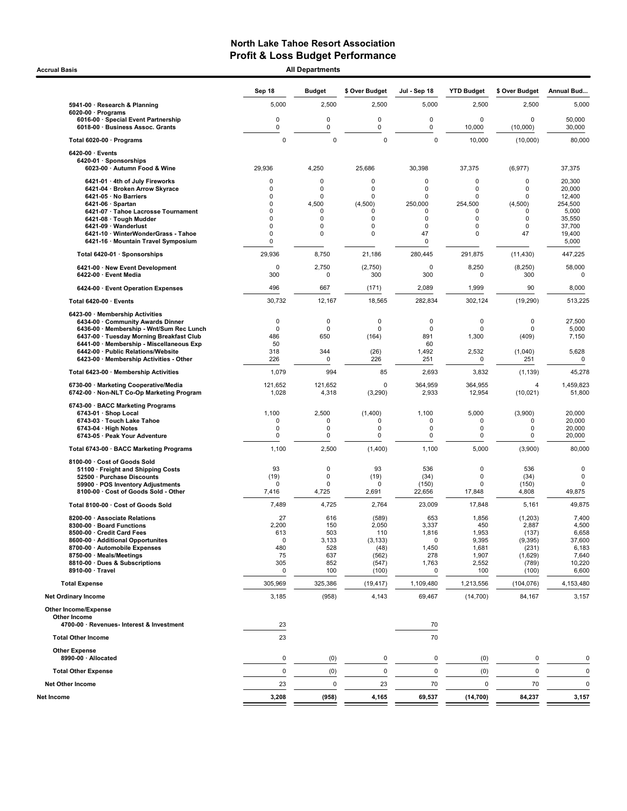Accrual Basis **Accrual Basis All Departments** 

| 5,000<br>2,500<br>2,500<br>5941-00 · Research & Planning<br>$6020-00 \cdot$ Programs<br>0<br>0<br>0<br>6016-00 · Special Event Partnership<br>0<br>0<br>0<br>6018-00 · Business Assoc. Grants<br>$\mathbf 0$<br>$\mathbf 0$<br>$\mathbf 0$<br>Total 6020-00 · Programs<br>$6420-00 \cdot$ Events<br>6420-01 · Sponsorships<br>6023-00 · Autumn Food & Wine<br>29,936<br>4,250<br>25,686<br>30,398<br>0<br>$\mathbf 0$<br>$\mathbf 0$<br>6421-01 · 4th of July Fireworks<br>6421-04 · Broken Arrow Skyrace<br>0<br>$\mathbf 0$<br>$\mathbf 0$<br>6421-05 · No Barriers<br>0<br>0<br>0<br>$\Omega$<br>4,500<br>(4,500)<br>250,000<br>$6421-06 \cdot$ Spartan<br>6421-07 · Tahoe Lacrosse Tournament<br>0<br>$\mathbf 0$<br>U<br>6421-08 · Tough Mudder<br>0<br>0<br>0<br>6421-09 · Wanderlust<br>$\Omega$<br>0<br>0<br>0<br>6421-10 · WinterWonderGrass - Tahoe<br>$\mathbf 0$<br>47<br>0<br>0<br>6421-16 · Mountain Travel Symposium<br>0<br>29,936<br>8,750<br>21,186<br>280,445<br>Total 6420-01 · Sponsorships | 5,000<br>2,500<br>0<br>$\mathbf 0$<br>0<br>10,000<br>$\mathbf 0$<br>10,000<br>37,375<br>$\mathbf 0$<br>0<br>$\mathbf 0$<br>0<br>$\mathbf 0$<br>0<br>254,500<br>$\Omega$<br>0<br>0<br>0<br>$\mathbf 0$<br>0<br>0 | 2,500<br>0<br>(10,000)<br>(10,000)<br>(6, 977)<br>0<br>0<br>0<br>(4,500) | 5,000<br>50,000<br>30,000<br>80,000<br>37,375<br>20,300<br>20,000<br>12,400 |
|------------------------------------------------------------------------------------------------------------------------------------------------------------------------------------------------------------------------------------------------------------------------------------------------------------------------------------------------------------------------------------------------------------------------------------------------------------------------------------------------------------------------------------------------------------------------------------------------------------------------------------------------------------------------------------------------------------------------------------------------------------------------------------------------------------------------------------------------------------------------------------------------------------------------------------------------------------------------------------------------------------------|-----------------------------------------------------------------------------------------------------------------------------------------------------------------------------------------------------------------|--------------------------------------------------------------------------|-----------------------------------------------------------------------------|
|                                                                                                                                                                                                                                                                                                                                                                                                                                                                                                                                                                                                                                                                                                                                                                                                                                                                                                                                                                                                                  |                                                                                                                                                                                                                 |                                                                          |                                                                             |
|                                                                                                                                                                                                                                                                                                                                                                                                                                                                                                                                                                                                                                                                                                                                                                                                                                                                                                                                                                                                                  |                                                                                                                                                                                                                 |                                                                          |                                                                             |
|                                                                                                                                                                                                                                                                                                                                                                                                                                                                                                                                                                                                                                                                                                                                                                                                                                                                                                                                                                                                                  |                                                                                                                                                                                                                 |                                                                          |                                                                             |
|                                                                                                                                                                                                                                                                                                                                                                                                                                                                                                                                                                                                                                                                                                                                                                                                                                                                                                                                                                                                                  |                                                                                                                                                                                                                 |                                                                          |                                                                             |
|                                                                                                                                                                                                                                                                                                                                                                                                                                                                                                                                                                                                                                                                                                                                                                                                                                                                                                                                                                                                                  |                                                                                                                                                                                                                 |                                                                          |                                                                             |
|                                                                                                                                                                                                                                                                                                                                                                                                                                                                                                                                                                                                                                                                                                                                                                                                                                                                                                                                                                                                                  |                                                                                                                                                                                                                 |                                                                          |                                                                             |
|                                                                                                                                                                                                                                                                                                                                                                                                                                                                                                                                                                                                                                                                                                                                                                                                                                                                                                                                                                                                                  |                                                                                                                                                                                                                 |                                                                          |                                                                             |
|                                                                                                                                                                                                                                                                                                                                                                                                                                                                                                                                                                                                                                                                                                                                                                                                                                                                                                                                                                                                                  |                                                                                                                                                                                                                 |                                                                          | 254,500                                                                     |
|                                                                                                                                                                                                                                                                                                                                                                                                                                                                                                                                                                                                                                                                                                                                                                                                                                                                                                                                                                                                                  |                                                                                                                                                                                                                 | $\Omega$<br>0                                                            | 5,000<br>35,550                                                             |
|                                                                                                                                                                                                                                                                                                                                                                                                                                                                                                                                                                                                                                                                                                                                                                                                                                                                                                                                                                                                                  |                                                                                                                                                                                                                 | 0                                                                        | 37,700                                                                      |
|                                                                                                                                                                                                                                                                                                                                                                                                                                                                                                                                                                                                                                                                                                                                                                                                                                                                                                                                                                                                                  |                                                                                                                                                                                                                 | 47                                                                       | 19,400<br>5,000                                                             |
|                                                                                                                                                                                                                                                                                                                                                                                                                                                                                                                                                                                                                                                                                                                                                                                                                                                                                                                                                                                                                  | 291,875                                                                                                                                                                                                         | (11, 430)                                                                | 447,225                                                                     |
| 2,750<br>$\mathbf 0$<br>(2,750)<br>6421-00 · New Event Development                                                                                                                                                                                                                                                                                                                                                                                                                                                                                                                                                                                                                                                                                                                                                                                                                                                                                                                                               | 8,250<br>0                                                                                                                                                                                                      | (8, 250)                                                                 | 58,000                                                                      |
| 300<br>300<br>6422-00 · Event Media<br>0<br>6424-00 · Event Operation Expenses<br>496<br>667<br>2,089<br>(171)                                                                                                                                                                                                                                                                                                                                                                                                                                                                                                                                                                                                                                                                                                                                                                                                                                                                                                   | 300<br>$\Omega$<br>1,999                                                                                                                                                                                        | 300<br>90                                                                | 0<br>8,000                                                                  |
| 30,732<br>12,167<br>282,834<br>Total 6420-00 · Events<br>18,565                                                                                                                                                                                                                                                                                                                                                                                                                                                                                                                                                                                                                                                                                                                                                                                                                                                                                                                                                  | 302,124                                                                                                                                                                                                         | (19, 290)                                                                | 513,225                                                                     |
| 6423-00 · Membership Activities                                                                                                                                                                                                                                                                                                                                                                                                                                                                                                                                                                                                                                                                                                                                                                                                                                                                                                                                                                                  |                                                                                                                                                                                                                 |                                                                          |                                                                             |
| $\mathbf 0$<br>$\mathbf 0$<br>6434-00 Community Awards Dinner<br>0                                                                                                                                                                                                                                                                                                                                                                                                                                                                                                                                                                                                                                                                                                                                                                                                                                                                                                                                               | 0<br>$\mathbf 0$                                                                                                                                                                                                | 0                                                                        | 27,500                                                                      |
| 0<br>6436 00 · Membership - Wnt/Sum Rec Lunch<br>$\Omega$<br>0<br>650<br>6437-00 · Tuesday Morning Breakfast Club<br>486<br>(164)                                                                                                                                                                                                                                                                                                                                                                                                                                                                                                                                                                                                                                                                                                                                                                                                                                                                                | 0<br>$\mathbf 0$<br>891<br>1,300                                                                                                                                                                                | 0<br>(409)                                                               | 5,000<br>7,150                                                              |
| 6441-00 · Membership - Miscellaneous Exp<br>50                                                                                                                                                                                                                                                                                                                                                                                                                                                                                                                                                                                                                                                                                                                                                                                                                                                                                                                                                                   | 60                                                                                                                                                                                                              |                                                                          |                                                                             |
| 318<br>344<br>(26)<br>1,492<br>6442-00 · Public Relations/Website<br>6423-00 · Membership Activities - Other<br>226<br>$\mathbf 0$<br>226                                                                                                                                                                                                                                                                                                                                                                                                                                                                                                                                                                                                                                                                                                                                                                                                                                                                        | 2,532<br>251<br>0                                                                                                                                                                                               | (1,040)<br>251                                                           | 5,628<br>$\mathbf 0$                                                        |
| 1,079<br>994<br>Total 6423-00 · Membership Activities<br>85                                                                                                                                                                                                                                                                                                                                                                                                                                                                                                                                                                                                                                                                                                                                                                                                                                                                                                                                                      | 2,693<br>3,832                                                                                                                                                                                                  | (1, 139)                                                                 | 45,278                                                                      |
| 121,652<br>121,652<br>0<br>6730-00 · Marketing Cooperative/Media<br>1,028<br>(3, 290)<br>6742-00 · Non-NLT Co-Op Marketing Program<br>4,318                                                                                                                                                                                                                                                                                                                                                                                                                                                                                                                                                                                                                                                                                                                                                                                                                                                                      | 364,959<br>364,955<br>2,933<br>12,954                                                                                                                                                                           | 4<br>(10, 021)                                                           | 1,459,823<br>51,800                                                         |
| 6743-00 · BACC Marketing Programs                                                                                                                                                                                                                                                                                                                                                                                                                                                                                                                                                                                                                                                                                                                                                                                                                                                                                                                                                                                |                                                                                                                                                                                                                 |                                                                          |                                                                             |
| 1,100<br>2,500<br>(1,400)<br>1,100<br>6743-01 · Shop Local<br>0<br>$\Omega$<br>6743-03 · Touch Lake Tahoe<br>0                                                                                                                                                                                                                                                                                                                                                                                                                                                                                                                                                                                                                                                                                                                                                                                                                                                                                                   | 5,000<br>0<br>$\mathbf 0$                                                                                                                                                                                       | (3,900)<br>0                                                             | 20,000<br>20,000                                                            |
| 0<br>0<br>0<br>$6743-04 \cdot$ High Notes                                                                                                                                                                                                                                                                                                                                                                                                                                                                                                                                                                                                                                                                                                                                                                                                                                                                                                                                                                        | 0<br>0                                                                                                                                                                                                          | 0                                                                        | 20,000                                                                      |
| 0<br>6743-05 · Peak Your Adventure<br>0<br>0                                                                                                                                                                                                                                                                                                                                                                                                                                                                                                                                                                                                                                                                                                                                                                                                                                                                                                                                                                     | 0<br>$\mathbf 0$                                                                                                                                                                                                | 0                                                                        | 20,000                                                                      |
| 1,100<br>2,500<br>(1,400)<br>Total 6743-00 · BACC Marketing Programs                                                                                                                                                                                                                                                                                                                                                                                                                                                                                                                                                                                                                                                                                                                                                                                                                                                                                                                                             | 1,100<br>5,000                                                                                                                                                                                                  | (3,900)                                                                  | 80,000                                                                      |
| 8100-00 · Cost of Goods Sold<br>93<br>$\mathbf 0$<br>93<br>51100 · Freight and Shipping Costs                                                                                                                                                                                                                                                                                                                                                                                                                                                                                                                                                                                                                                                                                                                                                                                                                                                                                                                    | 536<br>0                                                                                                                                                                                                        | 536                                                                      | $\mathbf 0$                                                                 |
| 52500 · Purchase Discounts<br>(19)<br>$\Omega$<br>(19)                                                                                                                                                                                                                                                                                                                                                                                                                                                                                                                                                                                                                                                                                                                                                                                                                                                                                                                                                           | (34)<br>0                                                                                                                                                                                                       | (34)                                                                     | 0                                                                           |
| 59900 · POS Inventory Adjustments<br>0<br>$\Omega$<br>0<br>(150)<br>4,725<br>8100-00 · Cost of Goods Sold - Other<br>7,416<br>2,691<br>22,656                                                                                                                                                                                                                                                                                                                                                                                                                                                                                                                                                                                                                                                                                                                                                                                                                                                                    | $\mathbf 0$<br>17,848                                                                                                                                                                                           | (150)<br>4,808                                                           | $\mathbf 0$<br>49,875                                                       |
| Total 8100-00 · Cost of Goods Sold<br>7,489<br>4,725<br>2,764                                                                                                                                                                                                                                                                                                                                                                                                                                                                                                                                                                                                                                                                                                                                                                                                                                                                                                                                                    | 23,009<br>17,848                                                                                                                                                                                                | 5,161                                                                    | 49,875                                                                      |
| 8200-00 Associate Relations<br>27<br>616<br>(589)                                                                                                                                                                                                                                                                                                                                                                                                                                                                                                                                                                                                                                                                                                                                                                                                                                                                                                                                                                | 653<br>1,856                                                                                                                                                                                                    | (1,203)                                                                  | 7,400                                                                       |
| 2,200<br>150<br>8300-00 · Board Functions<br>2,050                                                                                                                                                                                                                                                                                                                                                                                                                                                                                                                                                                                                                                                                                                                                                                                                                                                                                                                                                               | 3,337<br>450                                                                                                                                                                                                    | 2,887                                                                    | 4,500                                                                       |
| 8500-00 · Credit Card Fees<br>503<br>613<br>110                                                                                                                                                                                                                                                                                                                                                                                                                                                                                                                                                                                                                                                                                                                                                                                                                                                                                                                                                                  | 1,953<br>1,816                                                                                                                                                                                                  | (137)                                                                    | 6,658                                                                       |
| 8600-00 Additional Opportunites<br>0<br>3,133<br>(3, 133)<br>8700-00 · Automobile Expenses<br>480<br>528<br>(48)                                                                                                                                                                                                                                                                                                                                                                                                                                                                                                                                                                                                                                                                                                                                                                                                                                                                                                 | 0<br>9,395<br>1,450<br>1,681                                                                                                                                                                                    | (9,395)<br>(231)                                                         | 37,600<br>6,183                                                             |
| 8750-00 · Meals/Meetings<br>75<br>637<br>(562)                                                                                                                                                                                                                                                                                                                                                                                                                                                                                                                                                                                                                                                                                                                                                                                                                                                                                                                                                                   | 278<br>1,907                                                                                                                                                                                                    | (1,629)                                                                  | 7,640                                                                       |
| 8810-00 · Dues & Subscriptions<br>305<br>852<br>(547)                                                                                                                                                                                                                                                                                                                                                                                                                                                                                                                                                                                                                                                                                                                                                                                                                                                                                                                                                            | 1,763<br>2,552                                                                                                                                                                                                  | (789)                                                                    | 10,220                                                                      |
| 8910-00 · Travel<br>0<br>100<br>(100)<br>305,969<br>325,386<br>(19, 417)<br>1,109,480<br><b>Total Expense</b>                                                                                                                                                                                                                                                                                                                                                                                                                                                                                                                                                                                                                                                                                                                                                                                                                                                                                                    | 0<br>100<br>1,213,556                                                                                                                                                                                           | (100)<br>(104, 076)                                                      | 6,600<br>4,153,480                                                          |
| 3,185<br>(958)<br><b>Net Ordinary Income</b><br>4,143                                                                                                                                                                                                                                                                                                                                                                                                                                                                                                                                                                                                                                                                                                                                                                                                                                                                                                                                                            | 69,467<br>(14, 700)                                                                                                                                                                                             | 84,167                                                                   | 3,157                                                                       |
| Other Income/Expense                                                                                                                                                                                                                                                                                                                                                                                                                                                                                                                                                                                                                                                                                                                                                                                                                                                                                                                                                                                             |                                                                                                                                                                                                                 |                                                                          |                                                                             |
| Other Income<br>4700-00 · Revenues- Interest & Investment<br>23                                                                                                                                                                                                                                                                                                                                                                                                                                                                                                                                                                                                                                                                                                                                                                                                                                                                                                                                                  | 70                                                                                                                                                                                                              |                                                                          |                                                                             |
| 23<br><b>Total Other Income</b>                                                                                                                                                                                                                                                                                                                                                                                                                                                                                                                                                                                                                                                                                                                                                                                                                                                                                                                                                                                  | 70                                                                                                                                                                                                              |                                                                          |                                                                             |
|                                                                                                                                                                                                                                                                                                                                                                                                                                                                                                                                                                                                                                                                                                                                                                                                                                                                                                                                                                                                                  |                                                                                                                                                                                                                 |                                                                          |                                                                             |
| <b>Other Expense</b>                                                                                                                                                                                                                                                                                                                                                                                                                                                                                                                                                                                                                                                                                                                                                                                                                                                                                                                                                                                             |                                                                                                                                                                                                                 |                                                                          |                                                                             |
| 8990-00 · Allocated<br>$\pmb{0}$<br>(0)<br>0<br>$\mathbf 0$<br>$\mathbf 0$<br><b>Total Other Expense</b>                                                                                                                                                                                                                                                                                                                                                                                                                                                                                                                                                                                                                                                                                                                                                                                                                                                                                                         | $\pmb{0}$<br>(0)<br>$\mathbf 0$                                                                                                                                                                                 | 0<br>$\mathbf 0$                                                         | 0<br>$\mathbf 0$                                                            |
| (0)<br>$\mathbf 0$<br>23<br>23<br><b>Net Other Income</b>                                                                                                                                                                                                                                                                                                                                                                                                                                                                                                                                                                                                                                                                                                                                                                                                                                                                                                                                                        | (0)<br>70<br>$\mathbf 0$                                                                                                                                                                                        | 70                                                                       | $\mathbf 0$                                                                 |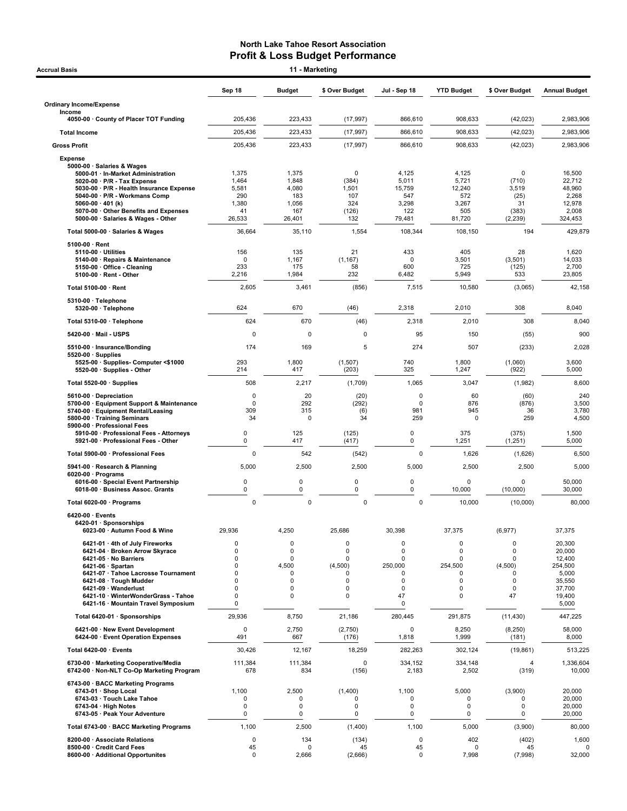| Accrual Basis                                                                      |                      | 11 - Marketing |                            |                            |                         |                            |                      |
|------------------------------------------------------------------------------------|----------------------|----------------|----------------------------|----------------------------|-------------------------|----------------------------|----------------------|
|                                                                                    | Sep 18               | <b>Budget</b>  | \$ Over Budget             | Jul - Sep 18               | <b>YTD Budget</b>       | \$ Over Budget             | <b>Annual Budget</b> |
| <b>Ordinary Income/Expense</b>                                                     |                      |                |                            |                            |                         |                            |                      |
| Income<br>4050-00 County of Placer TOT Funding                                     | 205,436              | 223,433        | (17, 997)                  | 866,610                    | 908,633                 | (42, 023)                  | 2,983,906            |
| <b>Total Income</b>                                                                | 205,436              | 223,433        | (17, 997)                  | 866,610                    | 908,633                 | (42, 023)                  | 2,983,906            |
| <b>Gross Profit</b>                                                                | 205,436              | 223,433        | (17, 997)                  | 866,610                    | 908,633                 | (42, 023)                  | 2,983,906            |
| <b>Expense</b>                                                                     |                      |                |                            |                            |                         |                            |                      |
| 5000-00 · Salaries & Wages<br>5000-01 · In-Market Administration                   | 1,375                | 1,375          | $\mathbf 0$                | 4,125                      | 4,125                   | 0                          | 16,500               |
| 5020-00 · P/R - Tax Expense<br>5030-00 · P/R - Health Insurance Expense            | 1,464<br>5,581       | 1,848<br>4,080 | (384)<br>1,501             | 5,011<br>15,759            | 5,721<br>12,240         | (710)<br>3,519             | 22,712<br>48,960     |
| 5040-00 · P/R - Workmans Comp<br>5060-00 $\cdot$ 401 (k)                           | 290<br>1,380         | 183<br>1,056   | 107<br>324                 | 547<br>3,298               | 572<br>3,267            | (25)<br>31                 | 2,268<br>12,978      |
| 5070-00 Other Benefits and Expenses<br>5000-00 · Salaries & Wages - Other          | 41<br>26,533         | 167<br>26,401  | (126)<br>132               | 122<br>79,481              | 505<br>81,720           | (383)<br>(2, 239)          | 2,008<br>324,453     |
| Total 5000-00 · Salaries & Wages                                                   | 36,664               | 35,110         | 1,554                      | 108,344                    | 108,150                 | 194                        | 429,879              |
| $5100-00 \cdot$ Rent                                                               |                      |                |                            |                            |                         |                            |                      |
| $5110-00 \cdot$ Utilities<br>5140-00 · Repairs & Maintenance                       | 156<br>0             | 135<br>1,167   | 21<br>(1, 167)             | 433<br>$\Omega$            | 405<br>3,501            | 28<br>(3, 501)             | 1,620<br>14,033      |
| 5150-00 Office - Cleaning                                                          | 233                  | 175            | 58                         | 600                        | 725                     | (125)                      | 2,700                |
| $5100-00 \cdot$ Rent - Other                                                       | 2,216                | 1,984          | 232                        | 6,482                      | 5,949                   | 533                        | 23,805               |
| Total 5100-00 · Rent<br>5310-00 · Telephone                                        | 2,605                | 3,461          | (856)                      | 7,515                      | 10,580                  | (3,065)                    | 42,158               |
| 5320-00 · Telephone                                                                | 624                  | 670            | (46)                       | 2,318                      | 2,010                   | 308                        | 8,040                |
| Total 5310-00 · Telephone                                                          | 624                  | 670            | (46)                       | 2,318                      | 2,010                   | 308                        | 8,040                |
| 5420-00 · Mail - USPS                                                              | 0                    | $\mathbf 0$    | 0                          | 95                         | 150                     | (55)                       | 900                  |
| 5510-00 · Insurance/Bonding<br>$5520-00 \cdot$ Supplies                            | 174                  | 169            | 5                          | 274                        | 507                     | (233)                      | 2,028                |
| 5525-00 · Supplies- Computer <\$1000<br>5520-00 · Supplies - Other                 | 293<br>214           | 1,800<br>417   | (1,507)<br>(203)           | 740<br>325                 | 1,800<br>1,247          | (1,060)<br>(922)           | 3,600<br>5,000       |
| Total 5520-00 · Supplies                                                           | 508                  | 2,217          | (1,709)                    | 1,065                      | 3,047                   | (1,982)                    | 8,600                |
| 5610-00 Depreciation<br>5700-00 · Equipment Support & Maintenance                  | 0<br>0               | 20<br>292      | (20)<br>(292)              | $\mathbf 0$<br>$\mathbf 0$ | 60<br>876               | (60)<br>(876)              | 240<br>3,500         |
| 5740-00 · Equipment Rental/Leasing                                                 | 309                  | 315            | (6)                        | 981                        | 945                     | 36                         | 3,780                |
| 5800-00 · Training Seminars<br>5900-00 · Professional Fees                         | 34                   | 0              | 34                         | 259                        | $\Omega$                | 259                        | 4,500                |
| 5910-00 · Professional Fees - Attorneys<br>5921-00 · Professional Fees - Other     | 0<br>$\mathbf 0$     | 125<br>417     | (125)<br>(417)             | 0<br>0                     | 375<br>1,251            | (375)<br>(1, 251)          | 1,500<br>5,000       |
| Total 5900-00 · Professional Fees                                                  | $\mathbf 0$          | 542            | (542)                      | $\mathbf 0$                | 1,626                   | (1,626)                    | 6,500                |
| 5941-00 · Research & Planning                                                      | 5,000                | 2,500          | 2,500                      | 5,000                      | 2,500                   | 2,500                      | 5,000                |
| $6020-00 \cdot$ Programs<br>6016-00 · Special Event Partnership                    | $\mathbf 0$          | 0              | $\pmb{0}$                  | 0                          | 0                       | 0                          | 50,000               |
| 6018-00 · Business Assoc. Grants                                                   | 0                    | 0              | 0                          | 0                          | 10,000                  | (10,000)                   | 30,000               |
| Total 6020-00 · Programs<br>6420-00 · Events                                       | $\mathbf 0$          | $\mathbf 0$    | 0                          | $\mathbf 0$                | 10,000                  | (10,000)                   | 80,000               |
| 6420-01 · Sponsorships<br>6023-00 · Autumn Food & Wine                             | 29,936               | 4,250          | 25,686                     | 30,398                     | 37,375                  | (6, 977)                   | 37,375               |
| 6421-01 · 4th of July Fireworks                                                    | $\Omega$             | 0              | $\mathbf 0$                | 0                          | 0                       | 0                          | 20,300               |
| 6421-04 · Broken Arrow Skyrace<br>6421-05 · No Barriers                            | $\Omega$<br>$\Omega$ | 0<br>0         | $\mathbf 0$<br>$\Omega$    | $\mathbf 0$<br>$\mathbf 0$ | 0<br>0                  | 0<br>$\mathbf 0$           | 20,000<br>12,400     |
| 6421-06 · Spartan<br>6421-07 · Tahoe Lacrosse Tournament                           | $\Omega$<br>$\Omega$ | 4,500<br>0     | (4,500)<br><sup>0</sup>    | 250,000<br>O               | 254,500<br><sup>0</sup> | (4,500)<br><sup>0</sup>    | 254,500<br>5,000     |
| 6421-08 · Tough Mudder<br>6421-09 · Wanderlust                                     | $\Omega$<br>0        | 0<br>0         | $\mathbf 0$<br>$\mathbf 0$ | 0<br>0                     | 0<br>0                  | $\mathbf 0$<br>$\mathbf 0$ | 35,550<br>37,700     |
| 6421-10 · WinterWonderGrass - Tahoe<br>6421-16 · Mountain Travel Symposium         | 0<br>0               | 0              | $\Omega$                   | 47<br>0                    | $\Omega$                | 47                         | 19,400<br>5,000      |
| Total 6420-01 · Sponsorships                                                       | 29,936               | 8,750          | 21,186                     | 280,445                    | 291,875                 | (11, 430)                  | 447,225              |
| 6421-00 · New Event Development<br>6424-00 · Event Operation Expenses              | 0<br>491             | 2,750<br>667   | (2,750)<br>(176)           | $\Omega$<br>1,818          | 8,250<br>1,999          | (8, 250)<br>(181)          | 58,000<br>8,000      |
| Total 6420-00 · Events                                                             | 30,426               | 12,167         | 18,259                     | 282,263                    | 302,124                 | (19, 861)                  | 513,225              |
| 6730-00 · Marketing Cooperative/Media<br>6742-00 · Non-NLT Co-Op Marketing Program | 111,384<br>678       | 111,384<br>834 | 0<br>(156)                 | 334,152<br>2,183           | 334,148<br>2,502        | 4<br>(319)                 | 1,336,604<br>10,000  |
| 6743-00 · BACC Marketing Programs<br>6743-01 · Shop Local                          | 1,100                | 2,500          | (1,400)                    | 1,100                      | 5,000                   | (3,900)                    | 20,000               |
| 6743-03 · Touch Lake Tahoe                                                         | 0                    | 0              | 0                          | $\Omega$                   | 0                       | 0                          | 20,000               |
| $6743-04 \cdot$ High Notes<br>6743-05 · Peak Your Adventure                        | $\mathbf 0$<br>0     | 0<br>0         | 0<br>0                     | 0<br>0                     | 0<br>0                  | $\mathbf 0$<br>$\pmb{0}$   | 20,000<br>20,000     |
| Total 6743-00 · BACC Marketing Programs                                            | 1,100                | 2,500          | (1,400)                    | 1,100                      | 5,000                   | (3,900)                    | 80,000               |
| 8200-00 · Associate Relations                                                      | $\pmb{0}$            | 134            | (134)                      | 0                          | 402                     | (402)                      | 1,600                |
| 8500-00 · Credit Card Fees<br>8600-00 · Additional Opportunites                    | 45<br>$\mathbf 0$    | 0<br>2,666     | 45<br>(2,666)              | 45<br>0                    | 0<br>7,998              | 45<br>(7,998)              | 32,000               |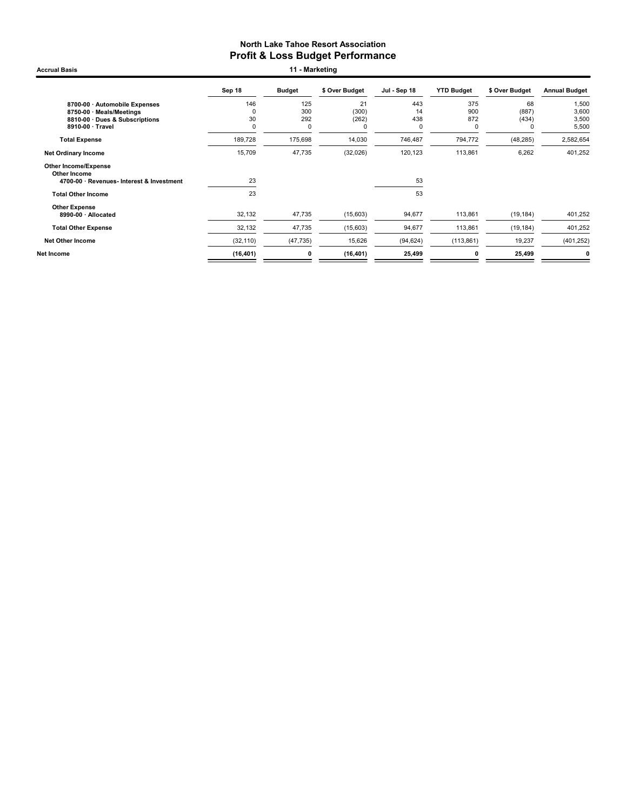Accrual Basis **11 - Marketing** 

|                                                                                                                 | Sep 18              | <b>Budget</b>                    | \$ Over Budget            | Jul - Sep 18                    | <b>YTD Budget</b>      | \$ Over Budget                   | <b>Annual Budget</b>             |
|-----------------------------------------------------------------------------------------------------------------|---------------------|----------------------------------|---------------------------|---------------------------------|------------------------|----------------------------------|----------------------------------|
| 8700-00 · Automobile Expenses<br>8750-00 · Meals/Meetings<br>8810-00 · Dues & Subscriptions<br>8910-00 · Travel | 146<br>0<br>30<br>0 | 125<br>300<br>292<br>$\mathbf 0$ | 21<br>(300)<br>(262)<br>O | 443<br>14<br>438<br>$\mathbf 0$ | 375<br>900<br>872<br>0 | 68<br>(887)<br>(434)<br>$\Omega$ | 1,500<br>3,600<br>3,500<br>5,500 |
| <b>Total Expense</b>                                                                                            | 189,728             | 175,698                          | 14,030                    | 746,487                         | 794,772                | (48, 285)                        | 2,582,654                        |
| <b>Net Ordinary Income</b>                                                                                      | 15,709              | 47,735                           | (32,026)                  | 120,123                         | 113,861                | 6,262                            | 401,252                          |
| Other Income/Expense<br>Other Income<br>4700-00 · Revenues- Interest & Investment                               | 23                  |                                  |                           | 53                              |                        |                                  |                                  |
| <b>Total Other Income</b>                                                                                       | 23                  |                                  |                           | 53                              |                        |                                  |                                  |
| <b>Other Expense</b><br>8990-00 · Allocated                                                                     | 32,132              | 47,735                           | (15,603)                  | 94,677                          | 113,861                | (19, 184)                        | 401,252                          |
| <b>Total Other Expense</b>                                                                                      | 32,132              | 47,735                           | (15,603)                  | 94,677                          | 113,861                | (19, 184)                        | 401,252                          |
| <b>Net Other Income</b>                                                                                         | (32, 110)           | (47, 735)                        | 15,626                    | (94, 624)                       | (113, 861)             | 19,237                           | (401, 252)                       |
| Net Income                                                                                                      | (16, 401)           | 0                                | (16, 401)                 | 25,499                          | 0                      | 25,499                           | 0                                |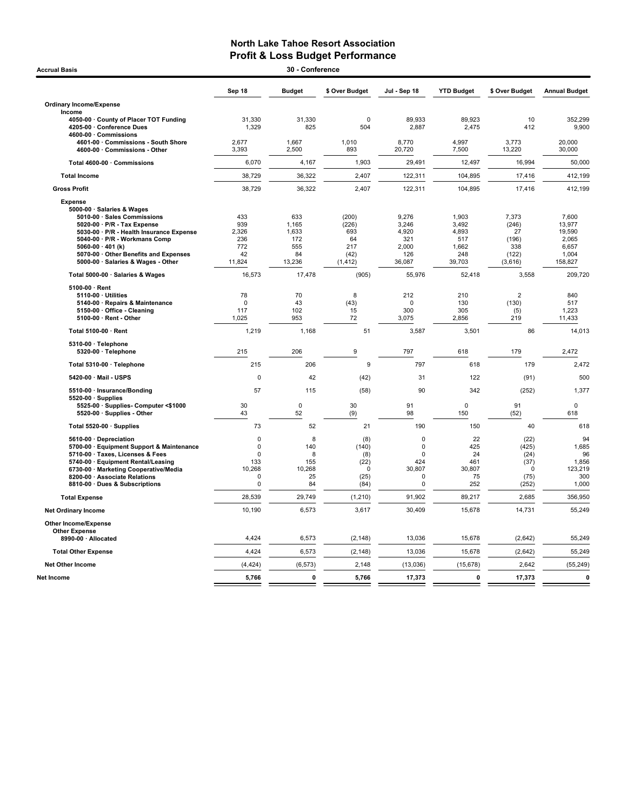| <b>Accrual Basis</b>                                                                       |                 | 30 - Conference |                    |                  |                   |                 |                      |
|--------------------------------------------------------------------------------------------|-----------------|-----------------|--------------------|------------------|-------------------|-----------------|----------------------|
|                                                                                            | Sep 18          | <b>Budget</b>   | \$ Over Budget     | Jul - Sep 18     | <b>YTD Budget</b> | \$ Over Budget  | <b>Annual Budget</b> |
| <b>Ordinary Income/Expense</b>                                                             |                 |                 |                    |                  |                   |                 |                      |
| Income                                                                                     |                 |                 |                    |                  |                   |                 |                      |
| 4050-00 · County of Placer TOT Funding<br>4205-00 Conference Dues<br>4600-00 · Commissions | 31,330<br>1,329 | 31,330<br>825   | $\mathbf 0$<br>504 | 89,933<br>2,887  | 89,923<br>2,475   | 10<br>412       | 352,299<br>9,900     |
| 4601-00 Commissions - South Shore<br>4600-00 Commissions - Other                           | 2,677<br>3,393  | 1,667<br>2,500  | 1,010<br>893       | 8,770<br>20,720  | 4,997<br>7,500    | 3,773<br>13,220 | 20,000<br>30,000     |
| Total 4600-00 · Commissions                                                                | 6,070           | 4,167           | 1,903              | 29,491           | 12,497            | 16,994          | 50.000               |
| <b>Total Income</b>                                                                        | 38,729          | 36,322          | 2,407              | 122,311          | 104,895           | 17,416          | 412,199              |
| <b>Gross Profit</b>                                                                        | 38,729          | 36,322          | 2,407              | 122,311          | 104,895           | 17,416          | 412,199              |
| <b>Expense</b>                                                                             |                 |                 |                    |                  |                   |                 |                      |
| 5000-00 · Salaries & Wages                                                                 |                 |                 |                    |                  |                   |                 |                      |
| 5010-00 · Sales Commissions                                                                | 433             | 633             | (200)              | 9,276            | 1,903             | 7,373           | 7,600                |
| 5020-00 · P/R - Tax Expense                                                                | 939             | 1,165           | (226)              | 3,246            | 3,492             | (246)           | 13,977               |
| 5030-00 · P/R - Health Insurance Expense                                                   | 2.326           | 1.633           | 693                | 4.920            | 4.893             | 27              | 19,590               |
| 5040-00 · P/R - Workmans Comp                                                              | 236             | 172             | 64                 | 321              | 517               | (196)           | 2,065                |
| 5060-00 $\cdot$ 401 (k)                                                                    | 772             | 555             | 217                | 2,000            | 1,662             | 338             | 6,657                |
| 5070-00 Other Benefits and Expenses                                                        | 42              | 84              | (42)               | 126              | 248               | (122)           | 1,004                |
| 5000-00 · Salaries & Wages - Other                                                         | 11,824          | 13,236          | (1, 412)           | 36,087           | 39,703            | (3,616)         | 158,827              |
| Total 5000-00 · Salaries & Wages                                                           | 16,573          | 17,478          | (905)              | 55,976           | 52,418            | 3,558           | 209,720              |
| 5100-00 $\cdot$ Rent                                                                       |                 |                 |                    |                  |                   |                 |                      |
| 5110-00 · Utilities                                                                        | 78              | 70              | 8                  | 212              | 210               | $\overline{2}$  | 840                  |
| 5140-00 · Repairs & Maintenance                                                            | 0               | 43              | (43)               | 0                | 130               | (130)           | 517                  |
| 5150-00 Office - Cleaning                                                                  | 117             | 102             | 15                 | 300              | 305               | (5)             | 1,223                |
| 5100-00 · Rent - Other                                                                     | 1,025           | 953             | 72                 | 3,075            | 2,856             | 219             | 11,433               |
| Total 5100-00 · Rent                                                                       | 1,219           | 1.168           | 51                 | 3,587            | 3,501             | 86              | 14,013               |
| 5310-00 · Telephone                                                                        |                 |                 |                    |                  |                   |                 |                      |
| 5320-00 · Telephone                                                                        | 215             | 206             | 9                  | 797              | 618               | 179             | 2,472                |
| Total 5310-00 · Telephone                                                                  | 215             | 206             | 9                  | 797              | 618               | 179             | 2,472                |
| 5420-00 · Mail - USPS                                                                      | 0               | 42              | (42)               | 31               | 122               | (91)            | 500                  |
| 5510-00 · Insurance/Bonding<br>$5520-00 \cdot$ Supplies                                    | 57              | 115             | (58)               | 90               | 342               | (252)           | 1,377                |
| 5525-00 · Supplies- Computer <\$1000                                                       | 30              | $\mathbf 0$     | 30                 | 91               | $\mathbf 0$       | 91              | $\mathbf 0$          |
| 5520-00 · Supplies - Other                                                                 | 43              | 52              | (9)                | 98               | 150               | (52)            | 618                  |
| Total 5520-00 · Supplies                                                                   | 73              | 52              | 21                 | 190              | 150               | 40              | 618                  |
| 5610-00 · Depreciation                                                                     | $\Omega$        | 8               | (8)                | $\mathbf 0$      | 22                | (22)            | 94                   |
| 5700-00 · Equipment Support & Maintenance                                                  | $\mathbf 0$     | 140             | (140)              | $\pmb{0}$        | 425               | (425)           | 1,685                |
| 5710-00 · Taxes, Licenses & Fees                                                           | $\mathbf 0$     | 8               | (8)                | $\mathbf 0$      | 24                | (24)            | 96                   |
| 5740-00 · Equipment Rental/Leasing                                                         | 133             | 155             | (22)               | 424              | 461               | (37)            | 1,856                |
| 6730-00 · Marketing Cooperative/Media                                                      | 10,268          | 10,268          | $\Omega$           | 30,807           | 30,807            | $\Omega$        | 123,219              |
| 8200-00 · Associate Relations                                                              | 0               | 25<br>84        | (25)               | 0<br>$\mathbf 0$ | 75<br>252         | (75)            | 300                  |
| 8810-00 · Dues & Subscriptions                                                             | 0               |                 | (84)               |                  |                   | (252)           | 1,000                |
| <b>Total Expense</b>                                                                       | 28,539          | 29,749          | (1, 210)           | 91,902           | 89,217            | 2,685           | 356,950              |
| <b>Net Ordinary Income</b>                                                                 | 10,190          | 6,573           | 3,617              | 30,409           | 15,678            | 14,731          | 55,249               |
| <b>Other Income/Expense</b><br><b>Other Expense</b>                                        |                 |                 |                    |                  |                   |                 |                      |
| 8990-00 · Allocated                                                                        | 4,424           | 6,573           | (2, 148)           | 13,036           | 15,678            | (2,642)         | 55,249               |
| <b>Total Other Expense</b>                                                                 | 4,424           | 6,573           | (2, 148)           | 13,036           | 15,678            | (2,642)         | 55,249               |
| <b>Net Other Income</b>                                                                    | (4, 424)        | (6, 573)        | 2,148              | (13,036)         | (15, 678)         | 2,642           | (55, 249)            |
| Net Income                                                                                 | 5,766           | 0               | 5,766              | 17,373           | 0                 | 17,373          | 0                    |
|                                                                                            |                 |                 |                    |                  |                   |                 |                      |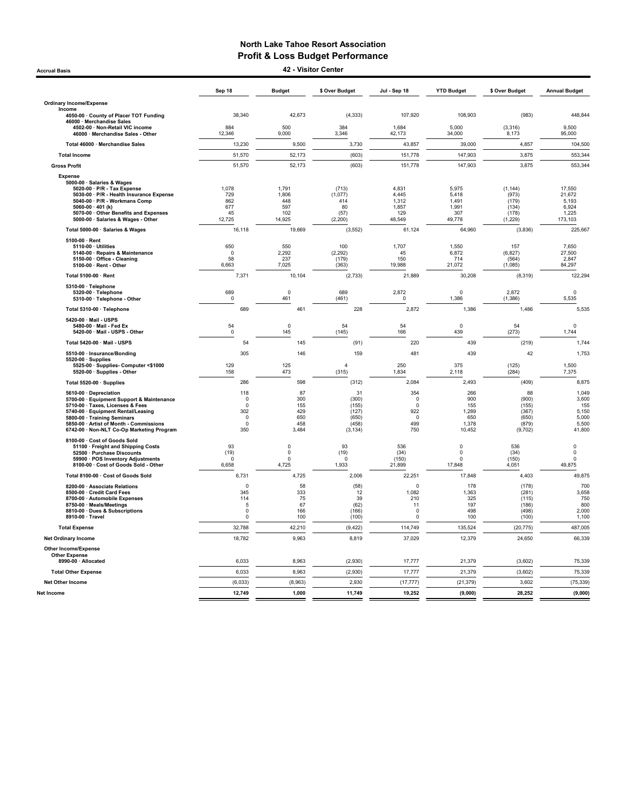Accrual Basis 42 - Visitor Center

|                                                                                                                                                                                                                                                                      | Sep 18                                                              | <b>Budget</b>                                    | \$ Over Budget                                              | Jul - Sep 18                                                  | <b>YTD Budget</b>                                    | \$ Over Budget                                             | <b>Annual Budget</b>                                       |
|----------------------------------------------------------------------------------------------------------------------------------------------------------------------------------------------------------------------------------------------------------------------|---------------------------------------------------------------------|--------------------------------------------------|-------------------------------------------------------------|---------------------------------------------------------------|------------------------------------------------------|------------------------------------------------------------|------------------------------------------------------------|
| <b>Ordinary Income/Expense</b>                                                                                                                                                                                                                                       |                                                                     |                                                  |                                                             |                                                               |                                                      |                                                            |                                                            |
| Income<br>4050-00 · County of Placer TOT Funding                                                                                                                                                                                                                     | 38,340                                                              | 42,673                                           | (4, 333)                                                    | 107,920                                                       | 108,903                                              | (983)                                                      | 448,844                                                    |
| 46000 · Merchandise Sales<br>4502-00 · Non-Retail VIC income<br>46000 · Merchandise Sales - Other                                                                                                                                                                    | 884<br>12,346                                                       | 500<br>9,000                                     | 384<br>3,346                                                | 1.684<br>42,173                                               | 5.000<br>34,000                                      | (3, 316)<br>8,173                                          | 9.500<br>95,000                                            |
| Total 46000 · Merchandise Sales                                                                                                                                                                                                                                      | 13,230                                                              | 9,500                                            | 3,730                                                       | 43,857                                                        | 39,000                                               | 4,857                                                      | 104,500                                                    |
| <b>Total Income</b>                                                                                                                                                                                                                                                  | 51,570                                                              | 52,173                                           | (603)                                                       | 151,778                                                       | 147,903                                              | 3,875                                                      | 553,344                                                    |
| <b>Gross Profit</b>                                                                                                                                                                                                                                                  | 51,570                                                              | 52,173                                           | (603)                                                       | 151,778                                                       | 147,903                                              | 3,875                                                      | 553,344                                                    |
| <b>Expense</b><br>5000-00 · Salaries & Wages<br>5020-00 · P/R - Tax Expense<br>5030-00 · P/R - Health Insurance Expense<br>5040-00 · P/R - Workmans Comp<br>$5060-00 \cdot 401$ (k)<br>5070-00 Other Benefits and Expenses                                           | 1,078<br>729<br>862<br>677<br>45                                    | 1.791<br>1,806<br>448<br>597<br>102              | (713)<br>(1,077)<br>414<br>80<br>(57)                       | 4.831<br>4,445<br>1,312<br>1,857<br>129                       | 5.975<br>5,418<br>1,491<br>1,991<br>307              | (1, 144)<br>(973)<br>(179)<br>(134)<br>(178)               | 17.550<br>21,672<br>5,193<br>6,924<br>1,225                |
| 5000-00 · Salaries & Wages - Other                                                                                                                                                                                                                                   | 12,725                                                              | 14,925                                           | (2, 200)                                                    | 48,549                                                        | 49,778                                               | (1, 229)                                                   | 173,103                                                    |
| Total 5000-00 · Salaries & Wages                                                                                                                                                                                                                                     | 16,118                                                              | 19,669                                           | (3, 552)                                                    | 61,124                                                        | 64,960                                               | (3,836)                                                    | 225,667                                                    |
| 5100-00 · Rent<br>5110-00 · Utilities<br>5140-00 · Repairs & Maintenance<br>5150-00 · Office - Cleaning<br>5100-00 · Rent - Other                                                                                                                                    | 650<br>$\mathbf 0$<br>58<br>6,663                                   | 550<br>2,292<br>237<br>7,025                     | 100<br>(2, 292)<br>(179)<br>(363)                           | 1,707<br>45<br>150<br>19,988                                  | 1,550<br>6,872<br>714<br>21,072                      | 157<br>(6.827)<br>(564)<br>(1,085)                         | 7,650<br>27,500<br>2,847<br>84,297                         |
| Total 5100-00 · Rent                                                                                                                                                                                                                                                 | 7,371                                                               | 10,104                                           | (2,733)                                                     | 21,889                                                        | 30,208                                               | (8,319)                                                    | 122,294                                                    |
| 5310-00 · Telephone<br>5320-00 · Telephone<br>5310-00 · Telephone - Other                                                                                                                                                                                            | 689<br>$\mathsf 0$                                                  | $\pmb{0}$<br>461                                 | 689<br>(461)                                                | 2,872<br>$\Omega$                                             | $\pmb{0}$<br>1,386                                   | 2,872<br>(1,386)                                           | 0<br>5,535                                                 |
| Total 5310-00 · Telephone                                                                                                                                                                                                                                            | 689                                                                 | 461                                              | 228                                                         | 2,872                                                         | 1,386                                                | 1,486                                                      | 5,535                                                      |
| 5420-00 · Mail - USPS<br>5480-00 · Mail - Fed Ex<br>5420-00 · Mail - USPS - Other                                                                                                                                                                                    | 54<br>$\mathsf 0$                                                   | $\pmb{0}$<br>145                                 | 54<br>(145)                                                 | 54<br>166                                                     | $\mathbf 0$<br>439                                   | 54<br>(273)                                                | 0<br>1,744                                                 |
| Total 5420-00 · Mail - USPS                                                                                                                                                                                                                                          | 54                                                                  | 145                                              | (91)                                                        | 220                                                           | 439                                                  | (219)                                                      | 1,744                                                      |
| 5510-00 · Insurance/Bonding<br>5520-00 · Supplies                                                                                                                                                                                                                    | 305                                                                 | 146                                              | 159                                                         | 481                                                           | 439                                                  | 42                                                         | 1,753                                                      |
| 5525-00 · Supplies- Computer <\$1000<br>5520-00 · Supplies - Other                                                                                                                                                                                                   | 129<br>158                                                          | 125<br>473                                       | $\overline{4}$<br>(315)                                     | 250<br>1,834                                                  | 375<br>2,118                                         | (125)<br>(284)                                             | 1,500<br>7,375                                             |
| Total 5520-00 · Supplies                                                                                                                                                                                                                                             | 286                                                                 | 598                                              | (312)                                                       | 2,084                                                         | 2,493                                                | (409)                                                      | 8,875                                                      |
| 5610-00 · Depreciation<br>5700-00 · Equipment Support & Maintenance<br>5710-00 · Taxes, Licenses & Fees<br>5740-00 · Equipment Rental/Leasing<br>5800-00 · Training Seminars<br>5850-00 · Artist of Month - Commissions<br>6742-00 · Non-NLT Co-Op Marketing Program | 118<br>$^{\circ}$<br>$\Omega$<br>302<br>$\Omega$<br>$\Omega$<br>350 | 87<br>300<br>155<br>429<br>650<br>458<br>3,484   | 31<br>(300)<br>(155)<br>(127)<br>(650)<br>(458)<br>(3, 134) | 354<br>$\pmb{0}$<br>$\Omega$<br>922<br>$\Omega$<br>499<br>750 | 266<br>900<br>155<br>1,289<br>650<br>1,378<br>10,452 | 88<br>(900)<br>(155)<br>(367)<br>(650)<br>(879)<br>(9,702) | 1,049<br>3,600<br>155<br>5,150<br>5,000<br>5,500<br>41,800 |
| 8100-00 · Cost of Goods Sold<br>51100 · Freight and Shipping Costs<br>52500 · Purchase Discounts<br>59900 · POS Inventory Adjustments<br>8100-00 · Cost of Goods Sold - Other                                                                                        | 93<br>(19)<br>$\Omega$<br>6,658                                     | $\mathbf 0$<br>$\pmb{0}$<br>$\mathbf 0$<br>4,725 | 93<br>(19)<br>$\Omega$<br>1,933                             | 536<br>(34)<br>(150)<br>21,899                                | $\mathbf 0$<br>$\mathbf 0$<br>$\mathbf 0$<br>17,848  | 536<br>(34)<br>(150)<br>4,051                              | 0<br>0<br>$\mathbf 0$<br>49,875                            |
| Total 8100-00 · Cost of Goods Sold                                                                                                                                                                                                                                   | 6,731                                                               | 4,725                                            | 2,006                                                       | 22,251                                                        | 17,848                                               | 4,403                                                      | 49,875                                                     |
| 8200-00 · Associate Relations<br>8500-00 · Credit Card Fees<br>8700-00 · Automobile Expenses<br>8750-00 · Meals/Meetings<br>8810-00 · Dues & Subscriptions<br>8910-00 · Travel                                                                                       | 0<br>345<br>114<br>-5<br>$\Omega$<br>$\Omega$                       | 58<br>333<br>75<br>67<br>166<br>100              | (58)<br>12<br>39<br>(62)<br>(166)<br>(100)                  | $\mathbf 0$<br>1,082<br>210<br>11<br>$\Omega$<br>$\Omega$     | 178<br>1,363<br>325<br>197<br>498<br>100             | (178)<br>(281)<br>(115)<br>(186)<br>(498)<br>(100)         | 700<br>3,658<br>750<br>800<br>2,000<br>1,100               |
| <b>Total Expense</b>                                                                                                                                                                                                                                                 | 32,788                                                              | 42,210                                           | (9, 422)                                                    | 114,749                                                       | 135,524                                              | (20, 775)                                                  | 487,005                                                    |
| <b>Net Ordinary Income</b>                                                                                                                                                                                                                                           | 18,782                                                              | 9,963                                            | 8,819                                                       | 37,029                                                        | 12,379                                               | 24,650                                                     | 66,339                                                     |
| <b>Other Income/Expense</b><br><b>Other Expense</b>                                                                                                                                                                                                                  |                                                                     |                                                  |                                                             |                                                               |                                                      |                                                            |                                                            |
| 8990-00 · Allocated                                                                                                                                                                                                                                                  | 6,033                                                               | 8,963                                            | (2,930)                                                     | 17,777                                                        | 21,379                                               | (3,602)                                                    | 75,339                                                     |
| <b>Total Other Expense</b>                                                                                                                                                                                                                                           | 6,033                                                               | 8,963                                            | (2,930)                                                     | 17,777                                                        | 21,379                                               | (3,602)                                                    | 75,339                                                     |
| Net Other Income<br>Net Income                                                                                                                                                                                                                                       | (6,033)<br>12,749                                                   | (8,963)<br>1,000                                 | 2,930<br>11,749                                             | (17, 777)<br>19,252                                           | (21, 379)<br>(9,000)                                 | 3,602<br>28.252                                            | (75, 339)<br>(9,000)                                       |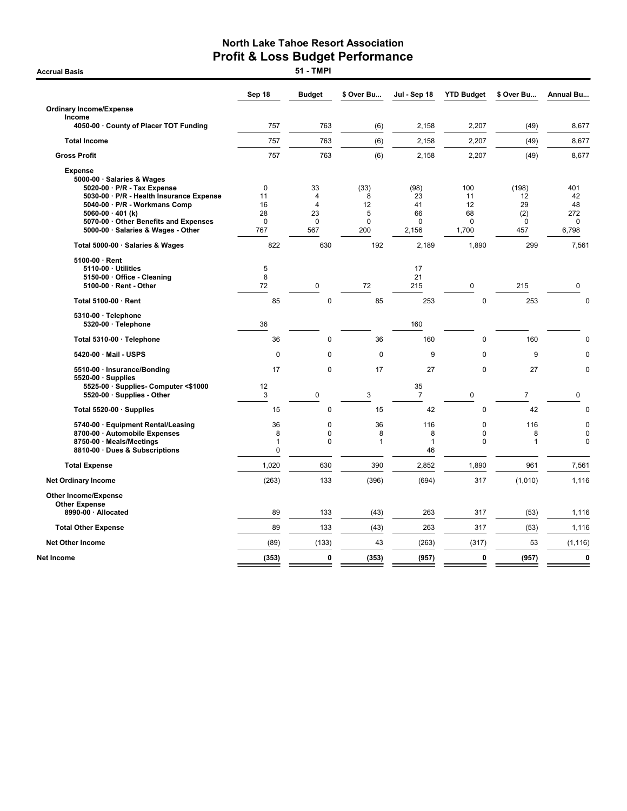**Accrual Basis** 

|                                                                                                                                                                                                                                                                  | Sep 18                                           | <b>Budget</b>                                      | \$ Over Bu                              | Jul - Sep 18                                | <b>YTD Budget</b>                          | \$ Over Bu                                  | <b>Annual Bu</b>                        |
|------------------------------------------------------------------------------------------------------------------------------------------------------------------------------------------------------------------------------------------------------------------|--------------------------------------------------|----------------------------------------------------|-----------------------------------------|---------------------------------------------|--------------------------------------------|---------------------------------------------|-----------------------------------------|
| <b>Ordinary Income/Expense</b>                                                                                                                                                                                                                                   |                                                  |                                                    |                                         |                                             |                                            |                                             |                                         |
| Income<br>4050-00 · County of Placer TOT Funding                                                                                                                                                                                                                 | 757                                              | 763                                                | (6)                                     | 2,158                                       | 2,207                                      | (49)                                        | 8,677                                   |
| <b>Total Income</b>                                                                                                                                                                                                                                              | 757                                              | 763                                                | (6)                                     | 2,158                                       | 2,207                                      | (49)                                        | 8,677                                   |
| <b>Gross Profit</b>                                                                                                                                                                                                                                              | 757                                              | 763                                                | (6)                                     | 2,158                                       | 2,207                                      | (49)                                        | 8,677                                   |
| <b>Expense</b><br>5000-00 · Salaries & Wages<br>5020-00 · P/R - Tax Expense<br>5030-00 · P/R - Health Insurance Expense<br>5040-00 · P/R - Workmans Comp<br>5060-00 $\cdot$ 401 (k)<br>5070-00 Other Benefits and Expenses<br>5000-00 · Salaries & Wages - Other | $\mathbf 0$<br>11<br>16<br>28<br>$\Omega$<br>767 | 33<br>4<br>$\overline{4}$<br>23<br>$\Omega$<br>567 | (33)<br>8<br>12<br>5<br>$\Omega$<br>200 | (98)<br>23<br>41<br>66<br>$\Omega$<br>2,156 | 100<br>11<br>12<br>68<br>$\Omega$<br>1,700 | (198)<br>12<br>29<br>(2)<br>$\Omega$<br>457 | 401<br>42<br>48<br>272<br>0<br>6,798    |
| Total 5000-00 · Salaries & Wages                                                                                                                                                                                                                                 | 822                                              | 630                                                | 192                                     | 2,189                                       | 1,890                                      | 299                                         | 7,561                                   |
| $5100-00 \cdot$ Rent<br>5110-00 · Utilities<br>5150-00 Office - Cleaning<br>5100-00 · Rent - Other                                                                                                                                                               | 5<br>8<br>72                                     | $\mathbf 0$                                        | 72                                      | 17<br>21<br>215                             | $\mathbf 0$                                | 215                                         | 0                                       |
| Total 5100-00 · Rent                                                                                                                                                                                                                                             | 85                                               | $\mathbf 0$                                        | 85                                      | 253                                         | $\mathbf 0$                                | 253                                         | $\mathbf 0$                             |
| 5310-00 · Telephone<br>5320-00 · Telephone                                                                                                                                                                                                                       | 36                                               |                                                    |                                         | 160                                         |                                            |                                             |                                         |
| Total 5310-00 · Telephone                                                                                                                                                                                                                                        | 36                                               | $\overline{0}$                                     | 36                                      | 160                                         | $\mathbf 0$                                | 160                                         | $\mathbf 0$                             |
| 5420-00 · Mail - USPS                                                                                                                                                                                                                                            | 0                                                | 0                                                  | $\mathbf 0$                             | 9                                           | 0                                          | 9                                           | $\mathbf 0$                             |
| 5510-00 · Insurance/Bonding<br>$5520-00 \cdot$ Supplies<br>5525-00 · Supplies- Computer <\$1000<br>5520-00 · Supplies - Other                                                                                                                                    | 17<br>12<br>$\mathbf{3}$                         | $\mathbf 0$<br>$\pmb{0}$                           | 17<br>3                                 | 27<br>35<br>$\overline{7}$                  | 0<br>0                                     | 27<br>$\overline{7}$                        | 0<br>0                                  |
| Total 5520-00 · Supplies                                                                                                                                                                                                                                         | 15                                               | 0                                                  | 15                                      | 42                                          | $\mathbf 0$                                | 42                                          | 0                                       |
| 5740-00 · Equipment Rental/Leasing<br>8700-00 · Automobile Expenses<br>8750-00 · Meals/Meetings<br>8810-00 · Dues & Subscriptions                                                                                                                                | 36<br>8<br>1<br>0                                | 0<br>0<br>0                                        | 36<br>8<br>1                            | 116<br>8<br>1<br>46                         | $\Omega$<br>$\Omega$<br>$\pmb{0}$          | 116<br>8<br>$\overline{1}$                  | $\mathbf 0$<br>$\pmb{0}$<br>$\mathbf 0$ |
| <b>Total Expense</b>                                                                                                                                                                                                                                             | 1,020                                            | 630                                                | 390                                     | 2,852                                       | 1,890                                      | 961                                         | 7,561                                   |
| <b>Net Ordinary Income</b>                                                                                                                                                                                                                                       | (263)                                            | 133                                                | (396)                                   | (694)                                       | 317                                        | (1,010)                                     | 1,116                                   |
| <b>Other Income/Expense</b><br><b>Other Expense</b><br>8990-00 · Allocated                                                                                                                                                                                       | 89                                               | 133                                                | (43)                                    | 263                                         | 317                                        | (53)                                        | 1,116                                   |
| <b>Total Other Expense</b>                                                                                                                                                                                                                                       | 89                                               | 133                                                | (43)                                    | 263                                         | 317                                        | (53)                                        | 1,116                                   |
| <b>Net Other Income</b>                                                                                                                                                                                                                                          | (89)                                             | (133)                                              | 43                                      | (263)                                       | (317)                                      | 53                                          | (1, 116)                                |
| Net Income                                                                                                                                                                                                                                                       | (353)                                            | 0                                                  | (353)                                   | (957)                                       | 0                                          | (957)                                       | $\pmb{0}$                               |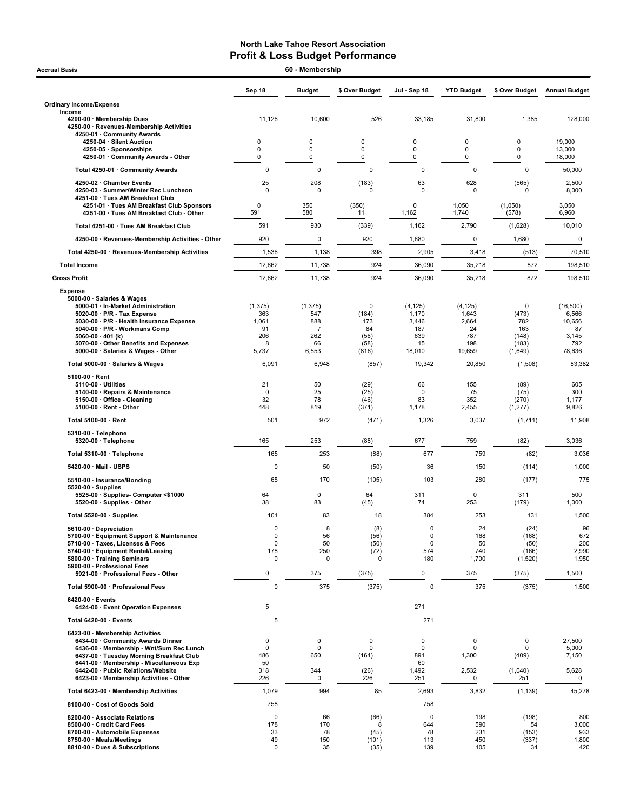| <b>Accrual Basis</b>                                                                                          | 60 - Membership  |                       |                  |                |                   |                     |                      |  |  |
|---------------------------------------------------------------------------------------------------------------|------------------|-----------------------|------------------|----------------|-------------------|---------------------|----------------------|--|--|
|                                                                                                               | Sep 18           | <b>Budget</b>         | \$ Over Budget   | Jul - Sep 18   | <b>YTD Budget</b> | \$ Over Budget      | <b>Annual Budget</b> |  |  |
| <b>Ordinary Income/Expense</b>                                                                                |                  |                       |                  |                |                   |                     |                      |  |  |
| Income<br>4200-00 · Membership Dues<br>4250-00 · Revenues-Membership Activities<br>4250-01 · Community Awards | 11,126           | 10,600                | 526              | 33,185         | 31,800            | 1,385               | 128,000              |  |  |
| 4250-04 · Silent Auction                                                                                      | 0                | 0                     | $\Omega$         | 0              | $\pmb{0}$         | $\mathbf 0$         | 19,000               |  |  |
| 4250-05 · Sponsorships<br>4250-01 Community Awards - Other                                                    | 0<br>0           | 0<br>0                | $\mathbf 0$<br>0 | 0<br>0         | $\mathbf 0$<br>0  | $\mathbf 0$<br>0    | 13,000<br>18,000     |  |  |
| Total 4250-01 · Community Awards                                                                              | $\pmb{0}$        | 0                     | $\mathbf 0$      | $\mathbf 0$    | $\mathbf 0$       | $\mathbf 0$         | 50,000               |  |  |
| 4250-02 · Chamber Events                                                                                      | 25               | 208                   | (183)            | 63             | 628               | (565)               | 2,500                |  |  |
| 4250-03 · Summer/Winter Rec Luncheon<br>4251-00 · Tues AM Breakfast Club                                      | $\Omega$         | 0                     | 0                | $\Omega$       | $\mathbf 0$       | $\Omega$            | 8,000                |  |  |
| 4251-01 · Tues AM Breakfast Club Sponsors<br>4251-00 · Tues AM Breakfast Club - Other                         | 0<br>591         | 350<br>580            | (350)<br>11      | 0<br>1,162     | 1,050<br>1,740    | (1,050)<br>(578)    | 3,050<br>6,960       |  |  |
| Total 4251-00 · Tues AM Breakfast Club                                                                        | 591              | 930                   | (339)            | 1,162          | 2,790             | (1,628)             | 10,010               |  |  |
| 4250-00 · Revenues-Membership Activities - Other                                                              | 920              | 0                     | 920              | 1,680          | 0                 | 1,680               | 0                    |  |  |
| Total 4250-00 · Revenues-Membership Activities                                                                | 1,536            | 1,138                 | 398              | 2,905          | 3,418             | (513)               | 70,510               |  |  |
| <b>Total Income</b>                                                                                           | 12,662           | 11,738                | 924              | 36,090         | 35,218            | 872                 | 198,510              |  |  |
| <b>Gross Profit</b>                                                                                           | 12,662           | 11,738                | 924              | 36,090         | 35,218            | 872                 | 198,510              |  |  |
| <b>Expense</b>                                                                                                |                  |                       |                  |                |                   |                     |                      |  |  |
| 5000-00 · Salaries & Wages<br>5000-01 · In-Market Administration                                              | (1, 375)         | (1, 375)              | 0                | (4, 125)       | (4, 125)          | 0                   | (16, 500)            |  |  |
| $5020-00 \cdot P/R$ - Tax Expense                                                                             | 363              | 547                   | (184)            | 1,170          | 1,643             | (473)               | 6,566                |  |  |
| 5030-00 · P/R - Health Insurance Expense<br>5040-00 · P/R - Workmans Comp                                     | 1,061<br>91      | 888<br>$\overline{7}$ | 173<br>84        | 3,446<br>187   | 2,664<br>24       | 782<br>163          | 10,656<br>87         |  |  |
| 5060-00 $\cdot$ 401 (k)<br>5070-00 Other Benefits and Expenses                                                | 206<br>8         | 262<br>66             | (56)<br>(58)     | 639<br>15      | 787<br>198        | (148)<br>(183)      | 3,145<br>792         |  |  |
| 5000-00 · Salaries & Wages - Other                                                                            | 5,737            | 6,553                 | (816)            | 18,010         | 19,659            | (1,649)             | 78,636               |  |  |
| Total 5000-00 · Salaries & Wages                                                                              | 6,091            | 6,948                 | (857)            | 19,342         | 20,850            | (1,508)             | 83,382               |  |  |
| $5100.00 \cdot$ Rent                                                                                          |                  |                       |                  |                |                   |                     |                      |  |  |
| $5110-00 \cdot$ Utilities<br>5140-00 · Repairs & Maintenance                                                  | 21<br>0          | 50<br>25              | (29)<br>(25)     | 66<br>$\Omega$ | 155<br>75         | (89)<br>(75)        | 605<br>300           |  |  |
| 5150-00 · Office - Cleaning                                                                                   | 32<br>448        | 78<br>819             | (46)             | 83             | 352<br>2,455      | (270)               | 1,177<br>9,826       |  |  |
| 5100-00 · Rent - Other<br>Total 5100-00 · Rent                                                                | 501              | 972                   | (371)<br>(471)   | 1,178<br>1,326 | 3,037             | (1, 277)<br>(1,711) | 11,908               |  |  |
| 5310-00 · Telephone                                                                                           |                  |                       |                  |                |                   |                     |                      |  |  |
| 5320-00 · Telephone                                                                                           | 165              | 253                   | (88)             | 677            | 759               | (82)                | 3,036                |  |  |
| Total 5310-00 · Telephone                                                                                     | 165              | 253                   | (88)             | 677            | 759               | (82)                | 3,036                |  |  |
| 5420-00 Mail USPS                                                                                             | $\pmb{0}$        | 50                    | (50)             | 36             | 150               | (114)               | 1,000                |  |  |
| 5510-00 · Insurance/Bonding<br>$5520-00 \cdot$ Supplies                                                       | 65               | 170                   | (105)            | 103            | 280               | (177)               | 775                  |  |  |
| 5525-00 · Supplies- Computer <\$1000                                                                          | 64               | 0                     | 64               | 311            | 0                 | 311                 | 500                  |  |  |
| 5520-00 · Supplies - Other                                                                                    | 38<br>101        | 83<br>83              | (45)<br>18       | 74<br>384      | 253<br>253        | (179)               | 1,000                |  |  |
| Total 5520-00 · Supplies                                                                                      | 0                | 8                     | (8)              | 0              | 24                | 131<br>(24)         | 1,500<br>96          |  |  |
| 5610-00 · Depreciation<br>5700-00 · Equipment Support & Maintenance                                           | 0                | 56                    | (56)             | 0              | 168               | (168)               | 672                  |  |  |
| 5710-00 · Taxes, Licenses & Fees<br>5740-00 · Equipment Rental/Leasing                                        | 0<br>178         | 50<br>250             | (50)<br>(72)     | 0<br>574       | 50<br>740         | (50)<br>(166)       | 200<br>2,990         |  |  |
| 5800-00 · Training Seminars                                                                                   | 0                | 0                     | $\mathbf 0$      | 180            | 1,700             | (1,520)             | 1,950                |  |  |
| 5900-00 · Professional Fees<br>5921-00 · Professional Fees - Other                                            | $\pmb{0}$        | 375                   | (375)            | $\pmb{0}$      | 375               | (375)               | 1,500                |  |  |
| Total 5900-00 · Professional Fees                                                                             | $\mathbf 0$      | 375                   | (375)            | $\mathbf 0$    | 375               | (375)               | 1,500                |  |  |
| $6420-00 \cdot$ Events<br>6424-00 · Event Operation Expenses                                                  | 5                |                       |                  | 271            |                   |                     |                      |  |  |
| Total 6420-00 · Events                                                                                        | 5                |                       |                  | 271            |                   |                     |                      |  |  |
| 6423-00 · Membership Activities                                                                               |                  |                       |                  |                |                   |                     |                      |  |  |
| 6434-00 Community Awards Dinner<br>6436-00 · Membership - Wnt/Sum Rec Lunch                                   | 0<br>0           | 0<br>0                | 0<br>0           | 0<br>$\pmb{0}$ | 0<br>0            | $\mathsf 0$<br>0    | 27,500<br>5,000      |  |  |
| 6437-00 · Tuesday Morning Breakfast Club                                                                      | 486              | 650                   | (164)            | 891            | 1,300             | (409)               | 7,150                |  |  |
| 6441-00 · Membership - Miscellaneous Exp<br>6442-00 · Public Relations/Website                                | 50<br>318        | 344                   | (26)             | 60<br>1,492    | 2,532             | (1,040)             | 5,628                |  |  |
| 6423-00 · Membership Activities - Other                                                                       | 226              | 0                     | 226              | 251            | 0                 | 251                 | 0                    |  |  |
| Total 6423-00 · Membership Activities                                                                         | 1,079            | 994                   | 85               | 2,693          | 3,832             | (1, 139)            | 45,278               |  |  |
| 8100-00 · Cost of Goods Sold<br>8200-00 · Associate Relations                                                 | 758<br>$\pmb{0}$ | 66                    | (66)             | 758<br>0       | 198               | (198)               | 800                  |  |  |
| 8500-00 · Credit Card Fees                                                                                    | 178              | 170                   | 8                | 644            | 590               | 54                  | 3,000                |  |  |
| 8700-00 · Automobile Expenses<br>8750-00 · Meals/Meetings                                                     | 33<br>49         | 78<br>150             | (45)<br>(101)    | 78<br>113      | 231<br>450        | (153)<br>(337)      | 933<br>1,800         |  |  |
| 8810-00 · Dues & Subscriptions                                                                                | 0                | 35                    | (35)             | 139            | 105               | 34                  | 420                  |  |  |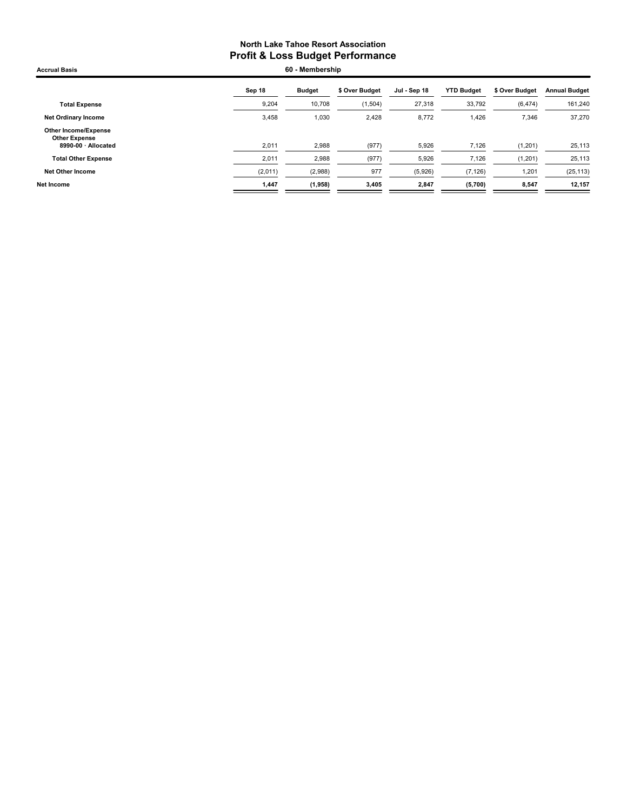| <b>Accrual Basis</b>                                                | 60 - Membership |               |                |              |                   |                |                      |
|---------------------------------------------------------------------|-----------------|---------------|----------------|--------------|-------------------|----------------|----------------------|
|                                                                     | Sep 18          | <b>Budget</b> | \$ Over Budget | Jul - Sep 18 | <b>YTD Budget</b> | \$ Over Budget | <b>Annual Budget</b> |
| <b>Total Expense</b>                                                | 9,204           | 10,708        | (1, 504)       | 27,318       | 33,792            | (6, 474)       | 161,240              |
| <b>Net Ordinary Income</b>                                          | 3,458           | 1,030         | 2,428          | 8,772        | 1,426             | 7,346          | 37,270               |
| Other Income/Expense<br><b>Other Expense</b><br>8990-00 · Allocated | 2,011           | 2,988         | (977)          | 5,926        | 7,126             | (1, 201)       | 25,113               |
| <b>Total Other Expense</b>                                          | 2,011           | 2,988         | (977)          | 5,926        | 7,126             | (1,201)        | 25,113               |
| <b>Net Other Income</b>                                             | (2,011)         | (2,988)       | 977            | (5,926)      | (7, 126)          | 1,201          | (25, 113)            |
| <b>Net Income</b>                                                   | 1,447           | (1,958)       | 3,405          | 2,847        | (5,700)           | 8,547          | 12,157               |